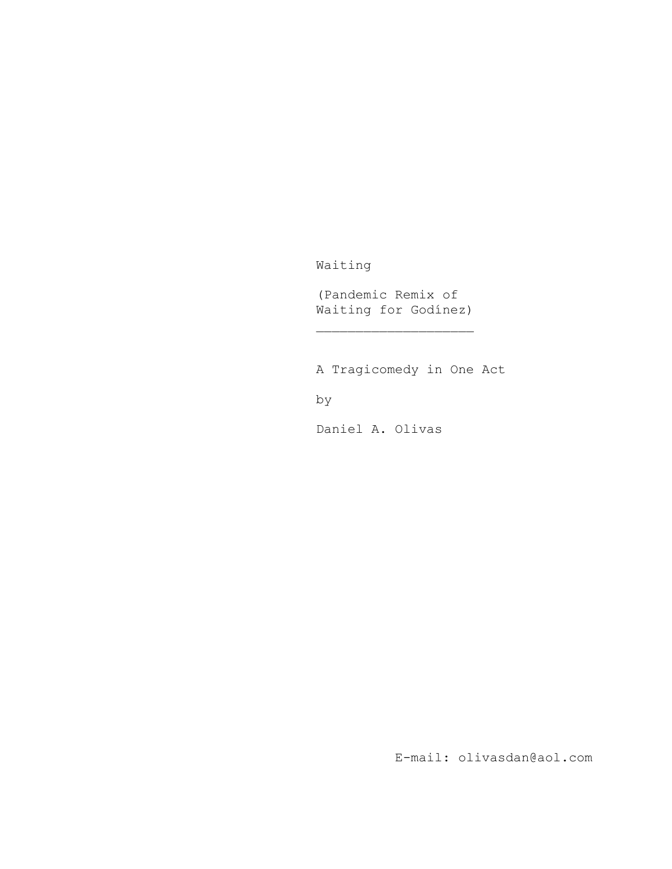Waiting

(Pandemic Remix of Waiting for Godínez)

A Tragicomedy in One Act

by

Daniel A. Olivas

E-mail: olivasdan@aol.com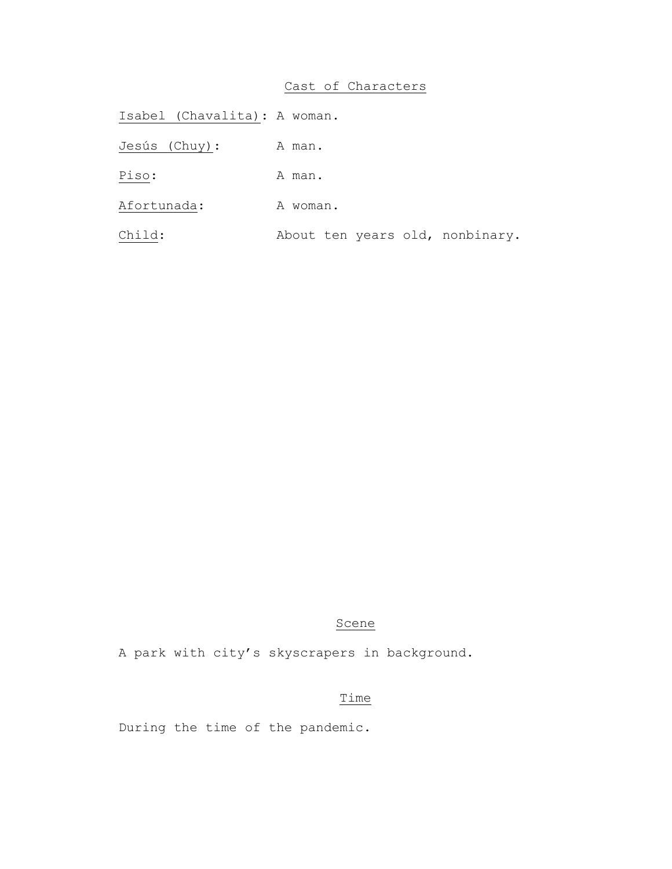# Cast of Characters

Isabel (Chavalita): A woman. Jesús (Chuy): A man. Piso: A man. Afortunada: A woman. Child: About ten years old, nonbinary.

# Scene

A park with city's skyscrapers in background.

# Time

During the time of the pandemic.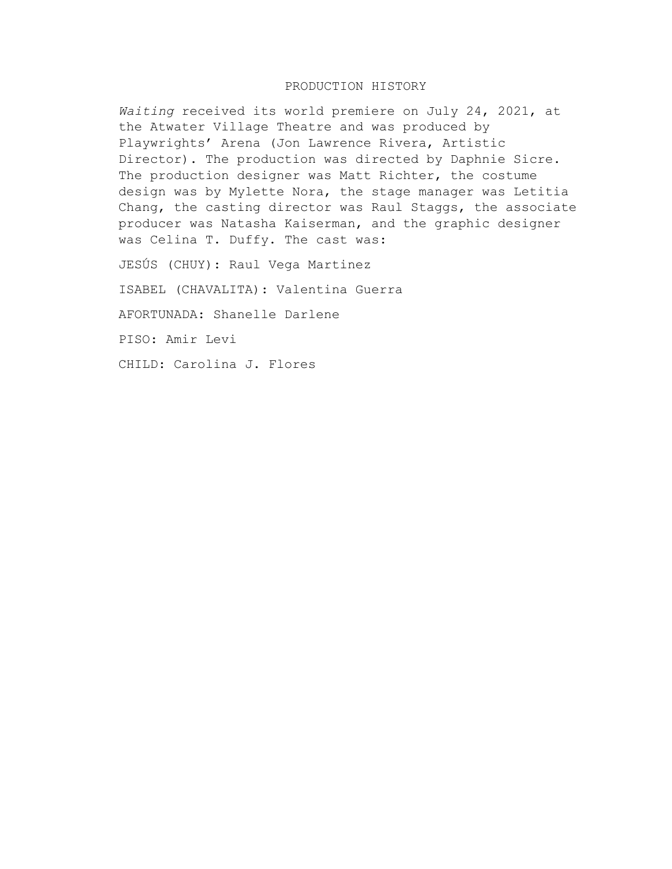# PRODUCTION HISTORY

*Waiting* received its world premiere on July 24, 2021, at the Atwater Village Theatre and was produced by Playwrights' Arena (Jon Lawrence Rivera, Artistic Director). The production was directed by Daphnie Sicre. The production designer was Matt Richter, the costume design was by Mylette Nora, the stage manager was Letitia Chang, the casting director was Raul Staggs, the associate producer was Natasha Kaiserman, and the graphic designer was Celina T. Duffy. The cast was:

JESÚS (CHUY): Raul Vega Martinez

ISABEL (CHAVALITA): Valentina Guerra

AFORTUNADA: Shanelle Darlene

PISO: Amir Levi

CHILD: Carolina J. Flores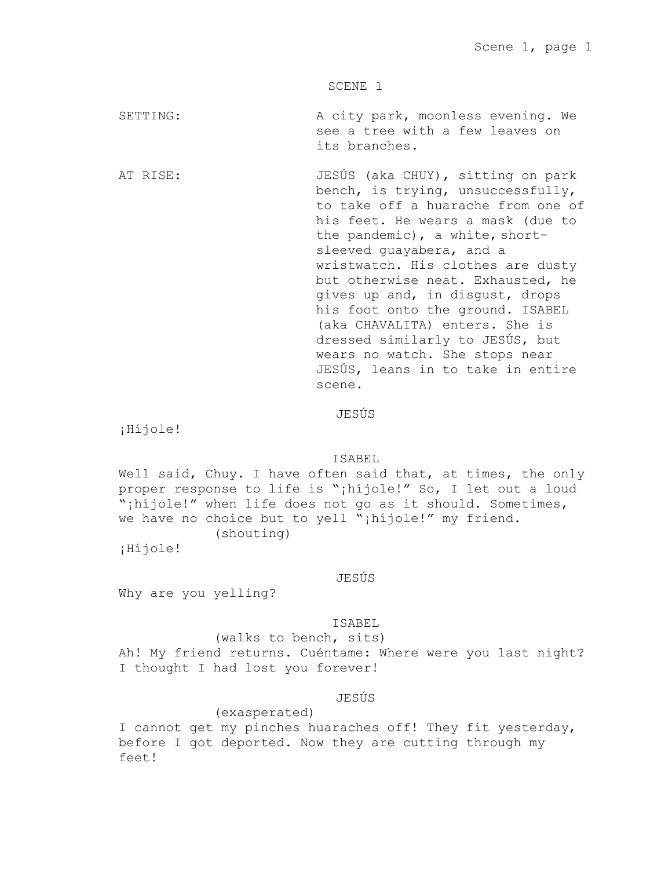SCENE 1

SETTING: A city park, moonless evening. We see a tree with a few leaves on its branches.

AT RISE:  $JESÚS$  (aka CHUY), sitting on park bench, is trying, unsuccessfully, to take off a huarache from one of his feet. He wears a mask (due to the pandemic), a white, shortsleeved guayabera, and a wristwatch. His clothes are dusty but otherwise neat. Exhausted, he gives up and, in disgust, drops his foot onto the ground. ISABEL (aka CHAVALITA) enters. She is dressed similarly to JESÚS, but wears no watch. She stops near JESÚS, leans in to take in entire scene.

JESÚS

¡Híjole!

ISABEL

Well said, Chuy. I have often said that, at times, the only proper response to life is ";hijole!" So, I let out a loud "¡híjole!" when life does not go as it should. Sometimes, we have no choice but to yell "¡híjole!" my friend. (shouting)

¡Híjole!

JESÚS

Why are you yelling?

## ISABEL

(walks to bench, sits) Ah! My friend returns. Cuéntame: Where were you last night? I thought I had lost you forever!

JESÚS

### (exasperated)

I cannot get my pinches huaraches off! They fit yesterday, before I got deported. Now they are cutting through my feet!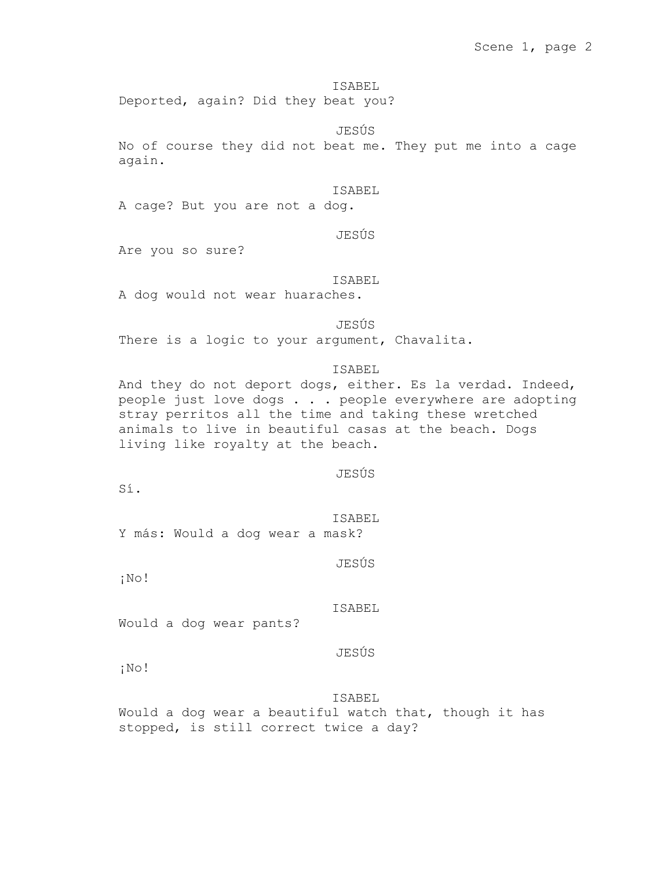Deported, again? Did they beat you?

### JESÚS

No of course they did not beat me. They put me into a cage again.

### ISABEL

A cage? But you are not a dog.

# JESÚS

Are you so sure?

#### ISABEL

A dog would not wear huaraches.

#### JESÚS

There is a logic to your argument, Chavalita.

# ISABEL

And they do not deport dogs, either. Es la verdad. Indeed, people just love dogs . . . people everywhere are adopting stray perritos all the time and taking these wretched animals to live in beautiful casas at the beach. Dogs living like royalty at the beach.

### JESÚS

Sí.

ISABEL Y más: Would a dog wear a mask?

JESÚS

¡No!

# ISABEL

Would a dog wear pants?

# JESÚS

¡No!

### ISABEL

Would a dog wear a beautiful watch that, though it has stopped, is still correct twice a day?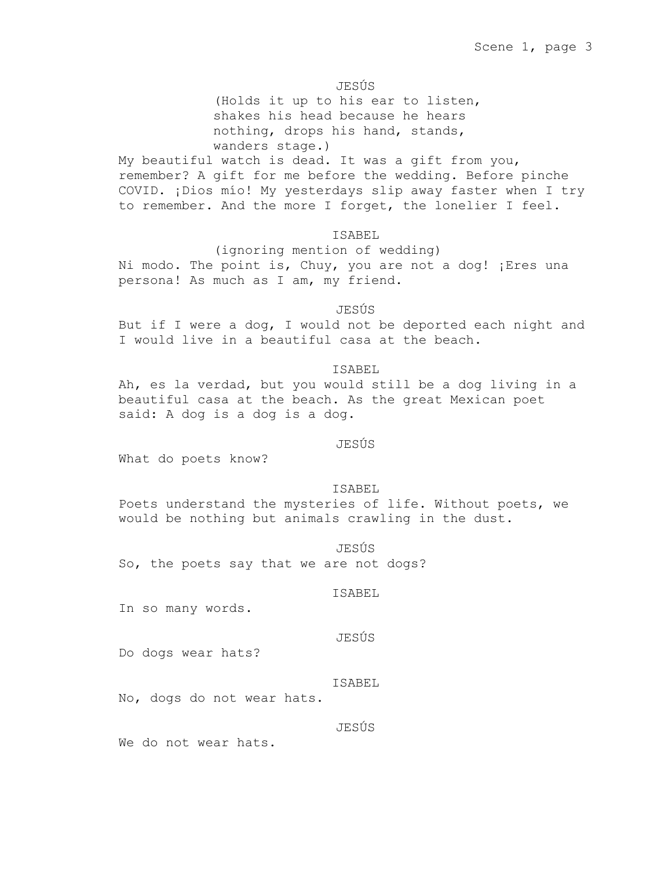JESÚS

(Holds it up to his ear to listen, shakes his head because he hears nothing, drops his hand, stands, wanders stage.)

My beautiful watch is dead. It was a gift from you, remember? A gift for me before the wedding. Before pinche COVID. ¡Dios mío! My yesterdays slip away faster when I try to remember. And the more I forget, the lonelier I feel.

# ISABEL

(ignoring mention of wedding) Ni modo. The point is, Chuy, you are not a dog! ¡Eres una persona! As much as I am, my friend.

# JESÚS

But if I were a dog, I would not be deported each night and I would live in a beautiful casa at the beach.

# ISABEL

Ah, es la verdad, but you would still be a dog living in a beautiful casa at the beach. As the great Mexican poet said: A dog is a dog is a dog.

### JESÚS

What do poets know?

#### ISABEL

Poets understand the mysteries of life. Without poets, we would be nothing but animals crawling in the dust.

JESÚS

So, the poets say that we are not dogs?

#### ISABEL

In so many words.

## JESÚS

Do dogs wear hats?

#### ISABEL

No, dogs do not wear hats.

### JESÚS

We do not wear hats.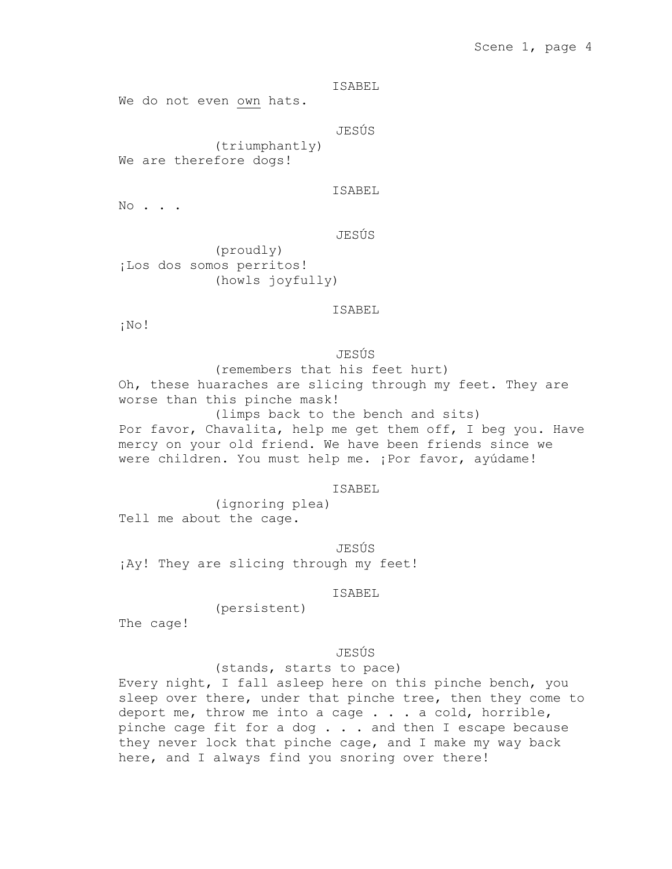# Scene 1, page 4

ISABEL

We do not even own hats.

JESÚS

(triumphantly) We are therefore dogs!

ISABEL

JESÚS

No . . .

(proudly) ¡Los dos somos perritos! (howls joyfully)

ISABEL

¡No!

JESÚS

(remembers that his feet hurt) Oh, these huaraches are slicing through my feet. They are worse than this pinche mask! (limps back to the bench and sits)

Por favor, Chavalita, help me get them off, I beg you. Have mercy on your old friend. We have been friends since we were children. You must help me. ¡Por favor, ayúdame!

ISABEL

(ignoring plea) Tell me about the cage.

JESÚS ¡Ay! They are slicing through my feet!

ISABEL

(persistent)

The cage!

JESÚS

(stands, starts to pace)

Every night, I fall asleep here on this pinche bench, you sleep over there, under that pinche tree, then they come to deport me, throw me into a cage . . . a cold, horrible, pinche cage fit for a dog . . . and then I escape because they never lock that pinche cage, and I make my way back here, and I always find you snoring over there!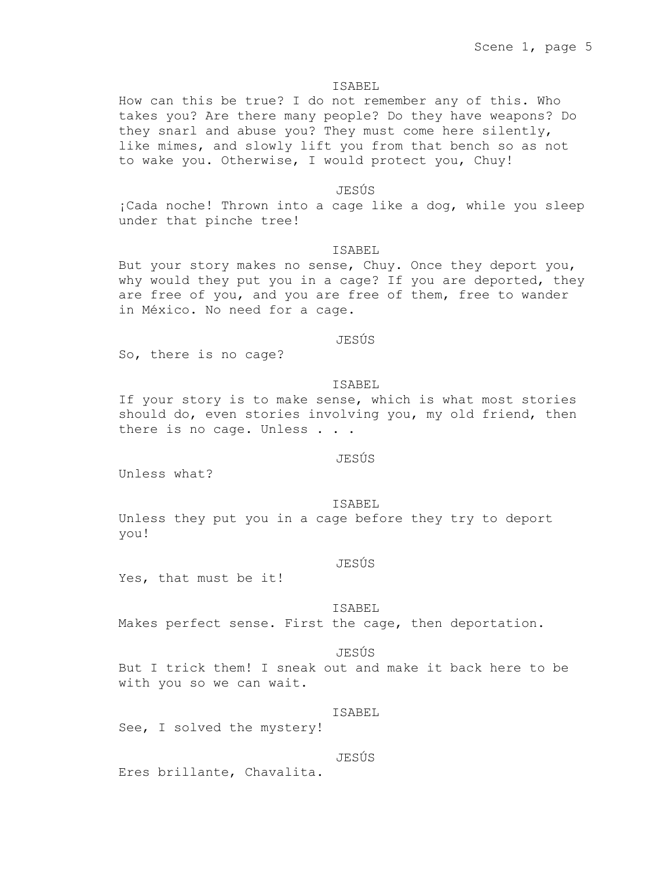How can this be true? I do not remember any of this. Who takes you? Are there many people? Do they have weapons? Do they snarl and abuse you? They must come here silently, like mimes, and slowly lift you from that bench so as not to wake you. Otherwise, I would protect you, Chuy!

# JESÚS

¡Cada noche! Thrown into a cage like a dog, while you sleep under that pinche tree!

## ISABEL

But your story makes no sense, Chuy. Once they deport you, why would they put you in a cage? If you are deported, they are free of you, and you are free of them, free to wander in México. No need for a cage.

## JESÚS

So, there is no cage?

#### ISABEL

If your story is to make sense, which is what most stories should do, even stories involving you, my old friend, then there is no cage. Unless . . .

# JESÚS

Unless what?

#### ISABEL

Unless they put you in a cage before they try to deport you!

# JESÚS

Yes, that must be it!

### ISABEL

Makes perfect sense. First the cage, then deportation.

### JESÚS

But I trick them! I sneak out and make it back here to be with you so we can wait.

# ISABEL

See, I solved the mystery!

# JESÚS

Eres brillante, Chavalita.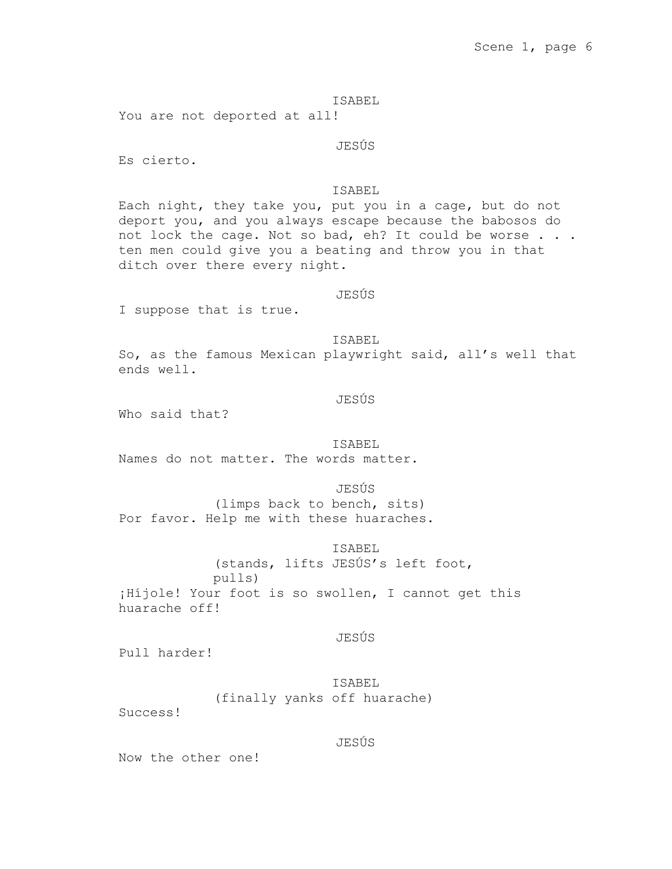# Scene 1, page 6

### ISABEL

You are not deported at all!

JESÚS

Es cierto.

# ISABEL

Each night, they take you, put you in a cage, but do not deport you, and you always escape because the babosos do not lock the cage. Not so bad, eh? It could be worse . . . ten men could give you a beating and throw you in that ditch over there every night.

### JESÚS

I suppose that is true.

ISABEL

So, as the famous Mexican playwright said, all's well that ends well.

# JESÚS

Who said that?

### ISABEL

Names do not matter. The words matter.

JESÚS

(limps back to bench, sits) Por favor. Help me with these huaraches.

ISABEL

(stands, lifts JESÚS's left foot, pulls) ¡Híjole! Your foot is so swollen, I cannot get this huarache off!

## JESÚS

Pull harder!

ISABEL (finally yanks off huarache)

Success!

# JESÚS

Now the other one!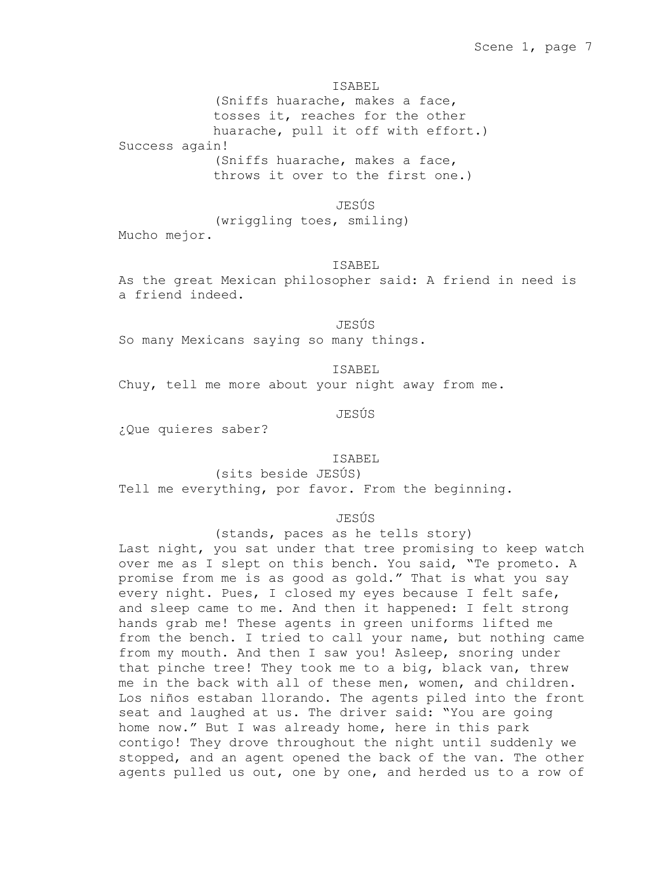(Sniffs huarache, makes a face, tosses it, reaches for the other huarache, pull it off with effort.) Success again! (Sniffs huarache, makes a face, throws it over to the first one.)

JESÚS

(wriggling toes, smiling) Mucho mejor.

# ISABEL

As the great Mexican philosopher said: A friend in need is a friend indeed.

JESÚS

So many Mexicans saying so many things.

ISABEL

Chuy, tell me more about your night away from me.

JESÚS

¿Que quieres saber?

### ISABEL

(sits beside JESÚS) Tell me everything, por favor. From the beginning.

JESÚS

(stands, paces as he tells story)

Last night, you sat under that tree promising to keep watch over me as I slept on this bench. You said, "Te prometo. A promise from me is as good as gold." That is what you say every night. Pues, I closed my eyes because I felt safe, and sleep came to me. And then it happened: I felt strong hands grab me! These agents in green uniforms lifted me from the bench. I tried to call your name, but nothing came from my mouth. And then I saw you! Asleep, snoring under that pinche tree! They took me to a big, black van, threw me in the back with all of these men, women, and children. Los niños estaban llorando. The agents piled into the front seat and laughed at us. The driver said: "You are going home now." But I was already home, here in this park contigo! They drove throughout the night until suddenly we stopped, and an agent opened the back of the van. The other agents pulled us out, one by one, and herded us to a row of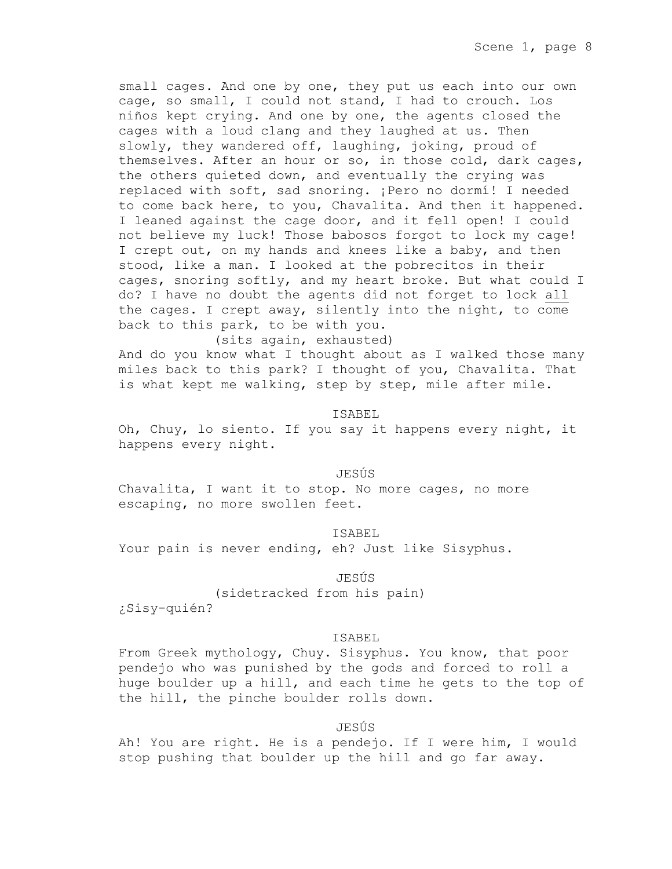small cages. And one by one, they put us each into our own cage, so small, I could not stand, I had to crouch. Los niños kept crying. And one by one, the agents closed the cages with a loud clang and they laughed at us. Then slowly, they wandered off, laughing, joking, proud of themselves. After an hour or so, in those cold, dark cages, the others quieted down, and eventually the crying was replaced with soft, sad snoring. ¡Pero no dormí! I needed to come back here, to you, Chavalita. And then it happened. I leaned against the cage door, and it fell open! I could not believe my luck! Those babosos forgot to lock my cage! I crept out, on my hands and knees like a baby, and then stood, like a man. I looked at the pobrecitos in their cages, snoring softly, and my heart broke. But what could I do? I have no doubt the agents did not forget to lock all the cages. I crept away, silently into the night, to come back to this park, to be with you.

(sits again, exhausted)

And do you know what I thought about as I walked those many miles back to this park? I thought of you, Chavalita. That is what kept me walking, step by step, mile after mile.

### ISABEL

Oh, Chuy, lo siento. If you say it happens every night, it happens every night.

### JESÚS

Chavalita, I want it to stop. No more cages, no more escaping, no more swollen feet.

#### ISABEL

Your pain is never ending, eh? Just like Sisyphus.

#### JESÚS

(sidetracked from his pain) ¿Sisy-quién?

#### ISABEL

From Greek mythology, Chuy. Sisyphus. You know, that poor pendejo who was punished by the gods and forced to roll a huge boulder up a hill, and each time he gets to the top of the hill, the pinche boulder rolls down.

### JESÚS

Ah! You are right. He is a pendejo. If I were him, I would stop pushing that boulder up the hill and go far away.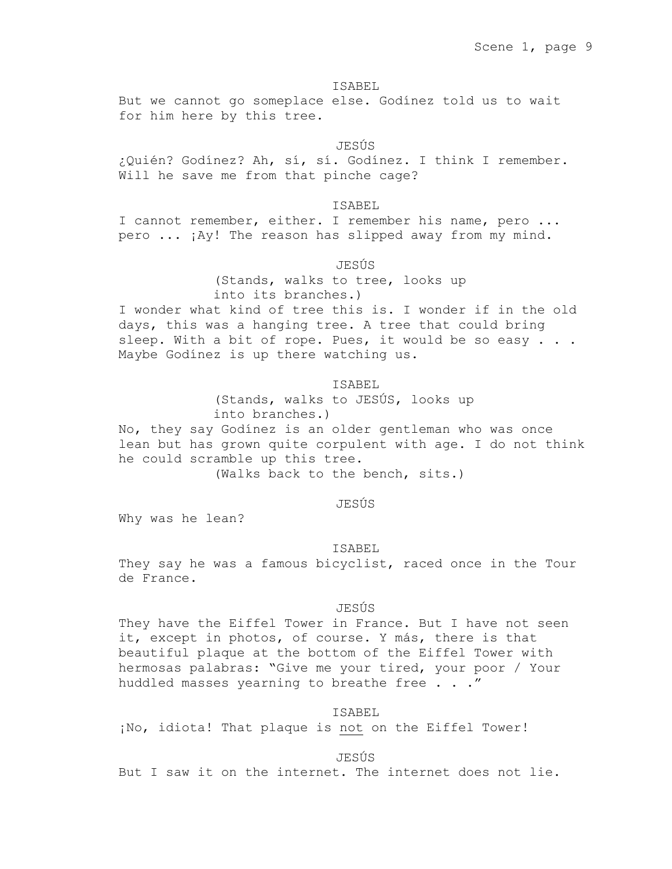But we cannot go someplace else. Godínez told us to wait for him here by this tree.

# JESÚS

¿Quién? Godínez? Ah, sí, sí. Godínez. I think I remember. Will he save me from that pinche cage?

# ISABEL

I cannot remember, either. I remember his name, pero ... pero ... ¡Ay! The reason has slipped away from my mind.

# JESÚS

(Stands, walks to tree, looks up into its branches.)

I wonder what kind of tree this is. I wonder if in the old days, this was a hanging tree. A tree that could bring sleep. With a bit of rope. Pues, it would be so easy . . . Maybe Godínez is up there watching us.

#### ISABEL

(Stands, walks to JESÚS, looks up into branches.)

No, they say Godínez is an older gentleman who was once lean but has grown quite corpulent with age. I do not think he could scramble up this tree.

(Walks back to the bench, sits.)

### JESÚS

Why was he lean?

#### ISABEL

They say he was a famous bicyclist, raced once in the Tour de France.

### JESÚS

They have the Eiffel Tower in France. But I have not seen it, except in photos, of course. Y más, there is that beautiful plaque at the bottom of the Eiffel Tower with hermosas palabras: "Give me your tired, your poor / Your huddled masses yearning to breathe free . . ."

# ISABEL

¡No, idiota! That plaque is not on the Eiffel Tower!

JESÚS

But I saw it on the internet. The internet does not lie.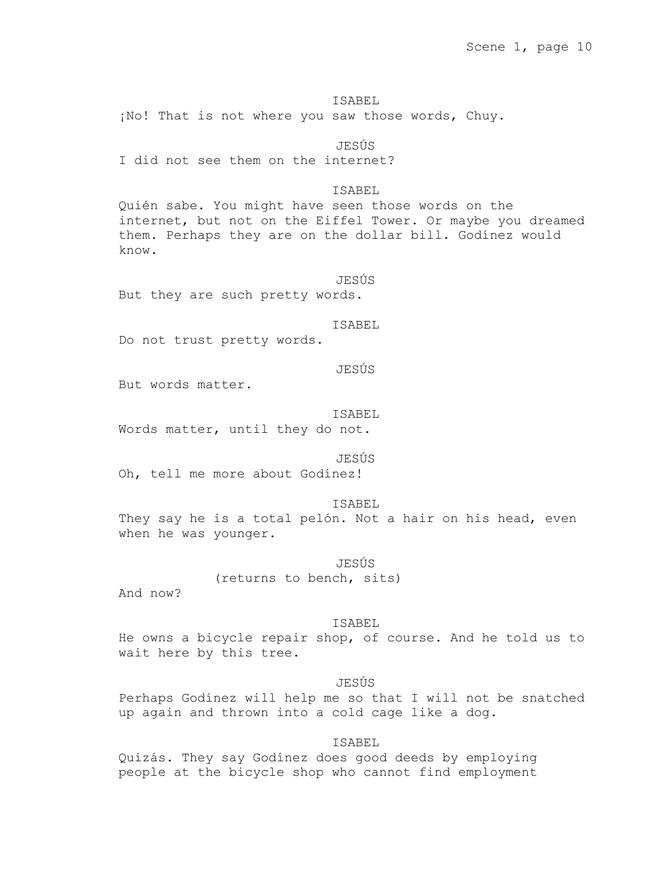¡No! That is not where you saw those words, Chuy.

JESÚS I did not see them on the internet?

ISABEL

Quién sabe. You might have seen those words on the internet, but not on the Eiffel Tower. Or maybe you dreamed them. Perhaps they are on the dollar bill. Godínez would know.

JESÚS But they are such pretty words.

ISABEL

Do not trust pretty words.

JESÚS

But words matter.

ISABEL

Words matter, until they do not.

JESÚS

Oh, tell me more about Godínez!

ISABEL

They say he is a total pelón. Not a hair on his head, even when he was younger.

JESÚS

(returns to bench, sits)

And now?

ISABEL

He owns a bicycle repair shop, of course. And he told us to wait here by this tree.

JESÚS

Perhaps Godínez will help me so that I will not be snatched up again and thrown into a cold cage like a dog.

ISABEL

Quizás. They say Godínez does good deeds by employing people at the bicycle shop who cannot find employment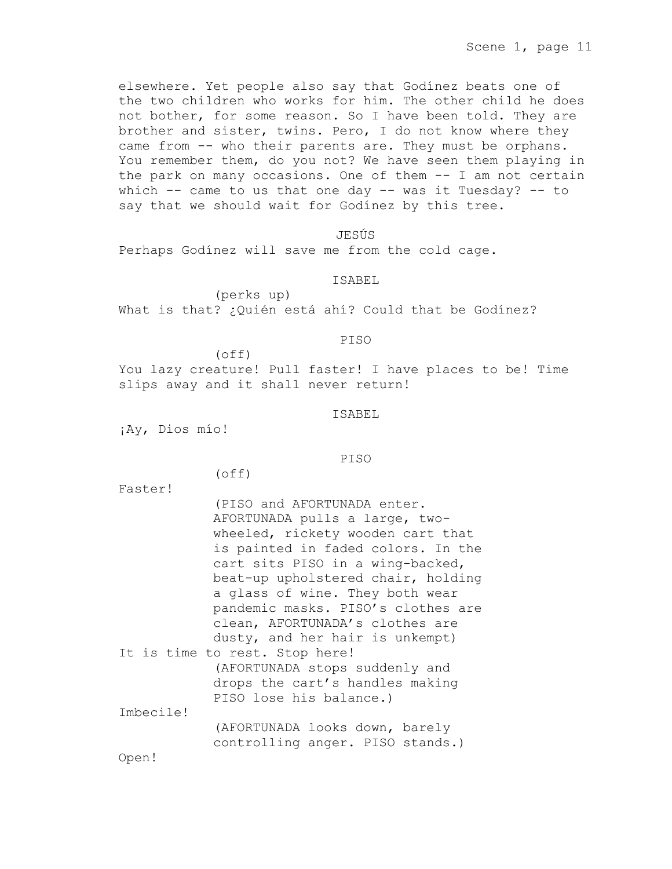elsewhere. Yet people also say that Godínez beats one of the two children who works for him. The other child he does not bother, for some reason. So I have been told. They are brother and sister, twins. Pero, I do not know where they came from -- who their parents are. They must be orphans. You remember them, do you not? We have seen them playing in the park on many occasions. One of them -- I am not certain which -- came to us that one day -- was it Tuesday? -- to say that we should wait for Godínez by this tree.

JESÚS

Perhaps Godínez will save me from the cold cage.

ISABEL

(perks up) What is that? ¿Quién está ahí? Could that be Godínez?

PISO

(off)

(off)

You lazy creature! Pull faster! I have places to be! Time slips away and it shall never return!

ISABEL

¡Ay, Dios mío!

# PISO

Faster!

|                                 | (PISO and AFORTUNADA enter.        |  |  |  |
|---------------------------------|------------------------------------|--|--|--|
|                                 | AFORTUNADA pulls a large, two-     |  |  |  |
|                                 | wheeled, rickety wooden cart that  |  |  |  |
|                                 | is painted in faded colors. In the |  |  |  |
|                                 | cart sits PISO in a wing-backed,   |  |  |  |
|                                 | beat-up upholstered chair, holding |  |  |  |
|                                 | a glass of wine. They both wear    |  |  |  |
|                                 | pandemic masks. PISO's clothes are |  |  |  |
|                                 | clean, AFORTUNADA's clothes are    |  |  |  |
|                                 | dusty, and her hair is unkempt)    |  |  |  |
|                                 | It is time to rest. Stop here!     |  |  |  |
|                                 | (AFORTUNADA stops suddenly and     |  |  |  |
| drops the cart's handles making |                                    |  |  |  |
|                                 | PISO lose his balance.)            |  |  |  |
| Imbecile!                       |                                    |  |  |  |
|                                 | (AFORTUNADA looks down, barely     |  |  |  |
|                                 | controlling anger. PISO stands.)   |  |  |  |
| Open!                           |                                    |  |  |  |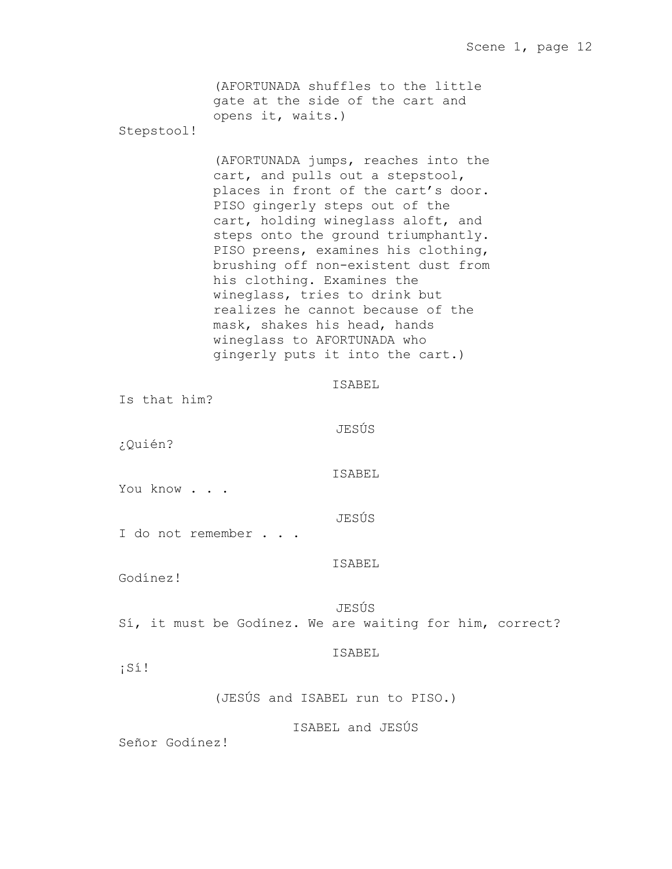|                   | opens it, waits.)                                                                                                          | (AFORTUNADA shuffles to the little<br>gate at the side of the cart and                                                                                                                                                                                                                                                                                                               |  |
|-------------------|----------------------------------------------------------------------------------------------------------------------------|--------------------------------------------------------------------------------------------------------------------------------------------------------------------------------------------------------------------------------------------------------------------------------------------------------------------------------------------------------------------------------------|--|
| Stepstool!        |                                                                                                                            |                                                                                                                                                                                                                                                                                                                                                                                      |  |
|                   | his clothing. Examines the<br>wineglass, tries to drink but<br>mask, shakes his head, hands<br>wineglass to AFORTUNADA who | (AFORTUNADA jumps, reaches into the<br>cart, and pulls out a stepstool,<br>places in front of the cart's door.<br>PISO gingerly steps out of the<br>cart, holding wineglass aloft, and<br>steps onto the ground triumphantly.<br>PISO preens, examines his clothing,<br>brushing off non-existent dust from<br>realizes he cannot because of the<br>gingerly puts it into the cart.) |  |
| Is that him?      |                                                                                                                            | ISABEL                                                                                                                                                                                                                                                                                                                                                                               |  |
| ¿Quién?           |                                                                                                                            | JESÚS                                                                                                                                                                                                                                                                                                                                                                                |  |
| You know          |                                                                                                                            | ISABEL                                                                                                                                                                                                                                                                                                                                                                               |  |
| I do not remember |                                                                                                                            | JESÚS                                                                                                                                                                                                                                                                                                                                                                                |  |
| Godínez!          |                                                                                                                            | ISABEL                                                                                                                                                                                                                                                                                                                                                                               |  |
|                   |                                                                                                                            | JESÚS<br>Sí, it must be Godinez. We are waiting for him, correct?                                                                                                                                                                                                                                                                                                                    |  |
| $i$ Sí!           |                                                                                                                            | ISABEL                                                                                                                                                                                                                                                                                                                                                                               |  |
|                   |                                                                                                                            | (JESÚS and ISABEL run to PISO.)                                                                                                                                                                                                                                                                                                                                                      |  |
|                   |                                                                                                                            | ISABEL and JESÚS                                                                                                                                                                                                                                                                                                                                                                     |  |

Señor Godínez!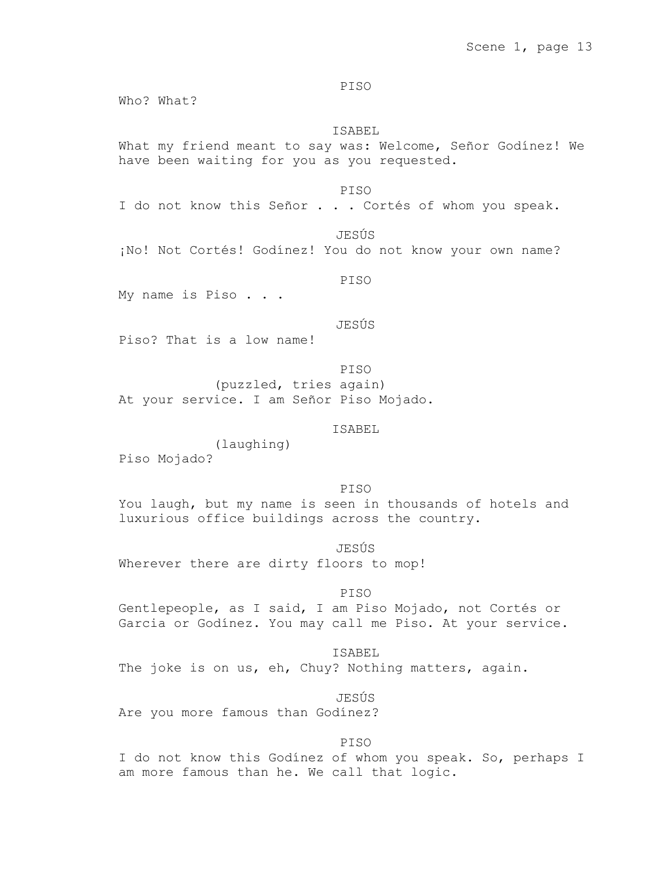PISO

Who? What?

# ISABEL

What my friend meant to say was: Welcome, Señor Godínez! We have been waiting for you as you requested.

PISO

I do not know this Señor . . . Cortés of whom you speak.

JESÚS

¡No! Not Cortés! Godínez! You do not know your own name?

PISO

My name is Piso . . .

JESÚS

Piso? That is a low name!

PISO (puzzled, tries again) At your service. I am Señor Piso Mojado.

# ISABEL

(laughing)

Piso Mojado?

PISO

You laugh, but my name is seen in thousands of hotels and luxurious office buildings across the country.

JESÚS

Wherever there are dirty floors to mop!

PISO

Gentlepeople, as I said, I am Piso Mojado, not Cortés or Garcia or Godínez. You may call me Piso. At your service.

ISABEL The joke is on us, eh, Chuy? Nothing matters, again.

JESÚS Are you more famous than Godínez?

PISO

I do not know this Godínez of whom you speak. So, perhaps I am more famous than he. We call that logic.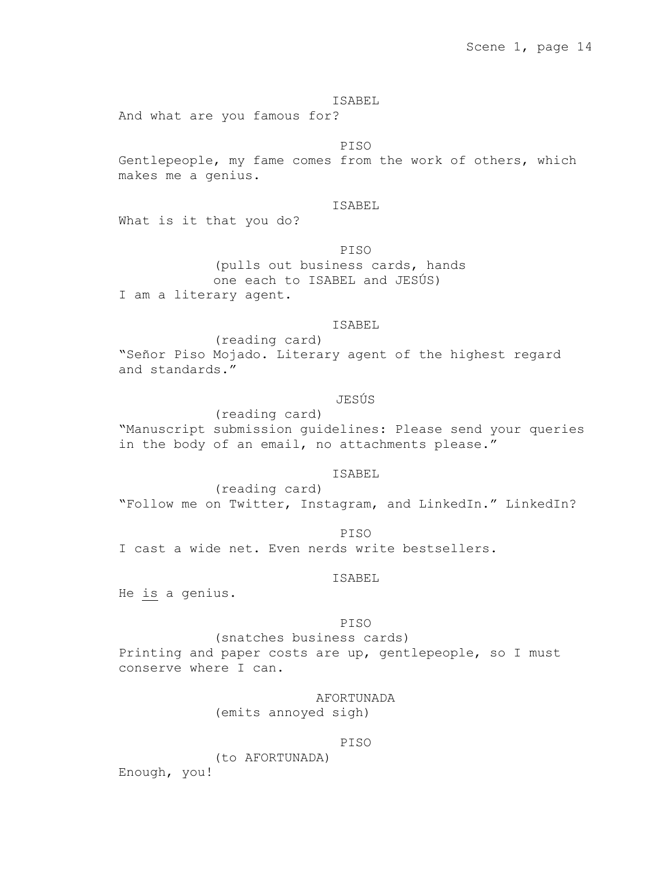And what are you famous for?

PISO

Gentlepeople, my fame comes from the work of others, which makes me a genius.

# ISABEL

What is it that you do?

PISO

(pulls out business cards, hands one each to ISABEL and JESÚS) I am a literary agent.

# ISABEL

(reading card) "Señor Piso Mojado. Literary agent of the highest regard and standards."

# JESÚS

(reading card) "Manuscript submission guidelines: Please send your queries in the body of an email, no attachments please."

#### ISABEL

(reading card) "Follow me on Twitter, Instagram, and LinkedIn." LinkedIn?

PISO

I cast a wide net. Even nerds write bestsellers.

# ISABEL

He is a genius.

### PISO

(snatches business cards) Printing and paper costs are up, gentlepeople, so I must conserve where I can.

# AFORTUNADA

(emits annoyed sigh)

# PISO

(to AFORTUNADA)

Enough, you!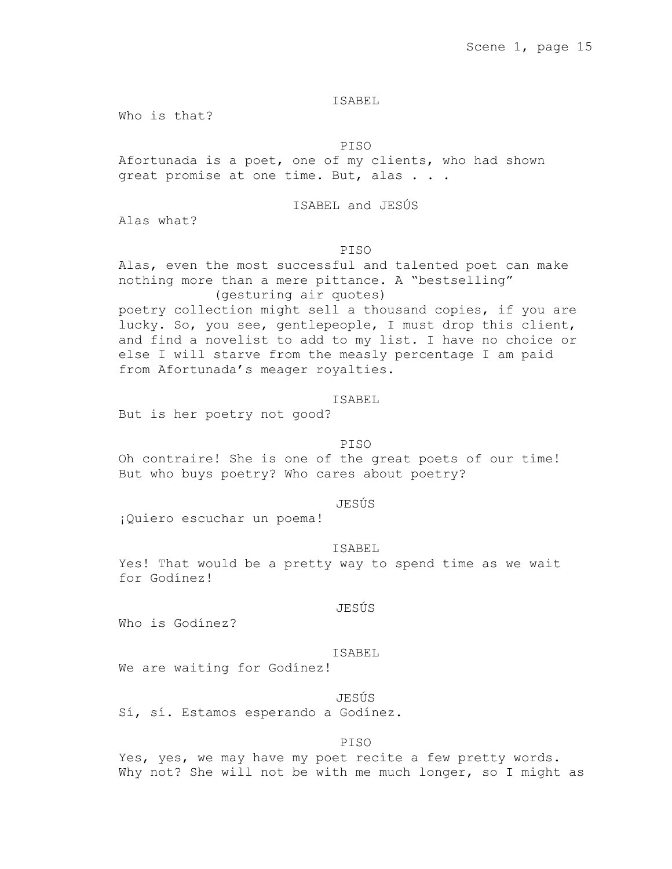Who is that?

PISO

Afortunada is a poet, one of my clients, who had shown great promise at one time. But, alas . . .

# ISABEL and JESÚS

Alas what?

# PISO

Alas, even the most successful and talented poet can make nothing more than a mere pittance. A "bestselling" (gesturing air quotes)

poetry collection might sell a thousand copies, if you are lucky. So, you see, gentlepeople, I must drop this client, and find a novelist to add to my list. I have no choice or else I will starve from the measly percentage I am paid from Afortunada's meager royalties.

# ISABEL

But is her poetry not good?

# PISO

Oh contraire! She is one of the great poets of our time! But who buys poetry? Who cares about poetry?

#### JESÚS

¡Quiero escuchar un poema!

#### ISABEL

Yes! That would be a pretty way to spend time as we wait for Godínez!

### JESÚS

Who is Godínez?

### ISABEL

We are waiting for Godinez!

# JESÚS

Sí, sí. Estamos esperando a Godínez.

#### PISO

Yes, yes, we may have my poet recite a few pretty words. Why not? She will not be with me much longer, so I might as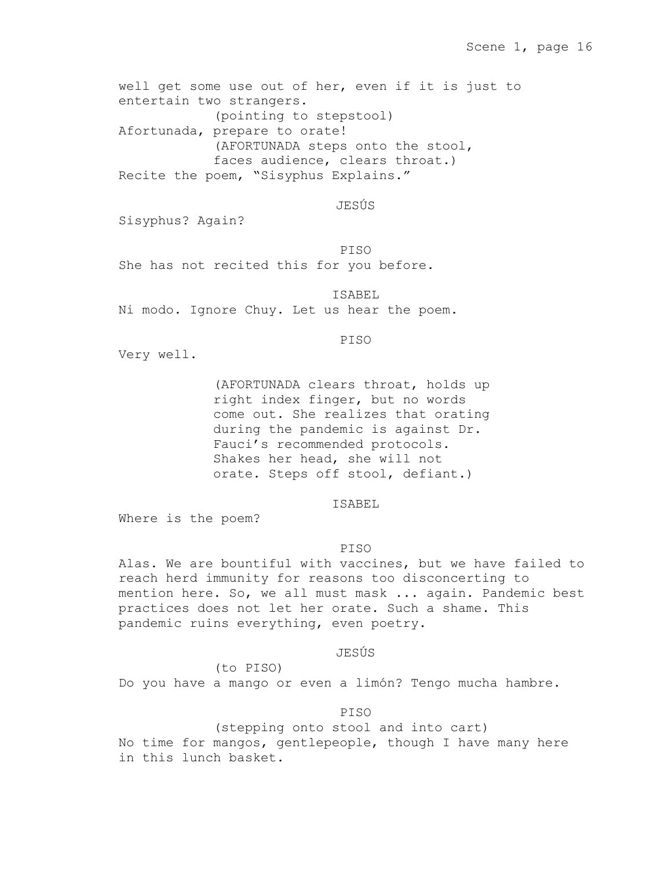well get some use out of her, even if it is just to entertain two strangers. (pointing to stepstool) Afortunada, prepare to orate! (AFORTUNADA steps onto the stool, faces audience, clears throat.) Recite the poem, "Sisyphus Explains."

# JESÚS

Sisyphus? Again?

PISO

She has not recited this for you before.

ISABEL Ni modo. Ignore Chuy. Let us hear the poem.

PISO

Very well.

(AFORTUNADA clears throat, holds up right index finger, but no words come out. She realizes that orating during the pandemic is against Dr. Fauci's recommended protocols. Shakes her head, she will not orate. Steps off stool, defiant.)

#### ISABEL

Where is the poem?

### PISO

Alas. We are bountiful with vaccines, but we have failed to reach herd immunity for reasons too disconcerting to mention here. So, we all must mask ... again. Pandemic best practices does not let her orate. Such a shame. This pandemic ruins everything, even poetry.

JESÚS

Do you have a mango or even a limón? Tengo mucha hambre.

(to PISO)

# PISO

(stepping onto stool and into cart) No time for mangos, gentlepeople, though I have many here in this lunch basket.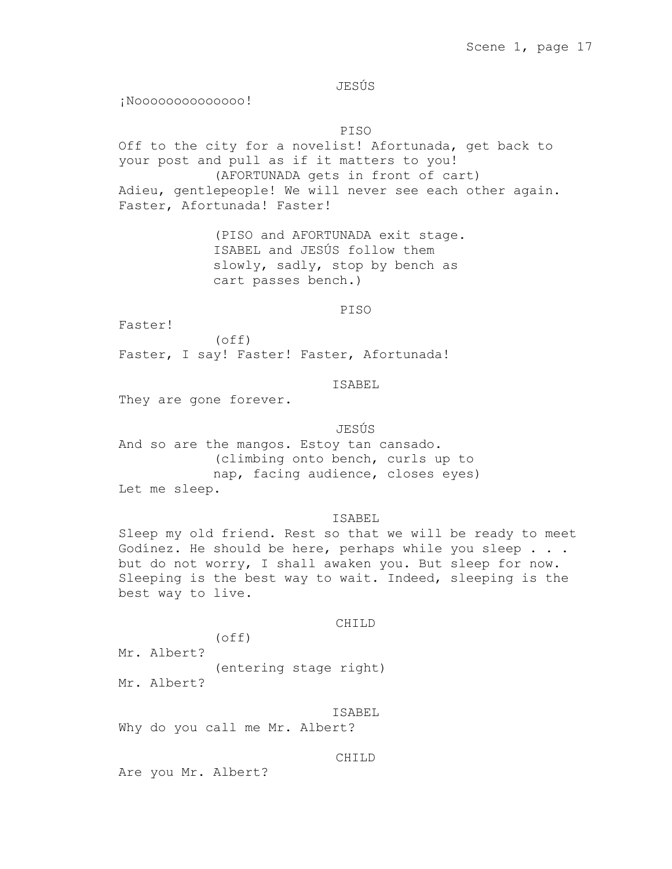JESÚS

¡Noooooooooooooo!

PISO

Off to the city for a novelist! Afortunada, get back to your post and pull as if it matters to you! (AFORTUNADA gets in front of cart) Adieu, gentlepeople! We will never see each other again. Faster, Afortunada! Faster!

> (PISO and AFORTUNADA exit stage. ISABEL and JESÚS follow them slowly, sadly, stop by bench as cart passes bench.)

> > PISO

Faster!

(off) Faster, I say! Faster! Faster, Afortunada!

# ISABEL

They are gone forever.

# JESÚS

And so are the mangos. Estoy tan cansado. (climbing onto bench, curls up to nap, facing audience, closes eyes) Let me sleep.

### ISABEL

Sleep my old friend. Rest so that we will be ready to meet Godínez. He should be here, perhaps while you sleep . . . but do not worry, I shall awaken you. But sleep for now. Sleeping is the best way to wait. Indeed, sleeping is the best way to live.

## CHILD

(off) Mr. Albert? (entering stage right) Mr. Albert?

ISABEL Why do you call me Mr. Albert?

#### CHILD

Are you Mr. Albert?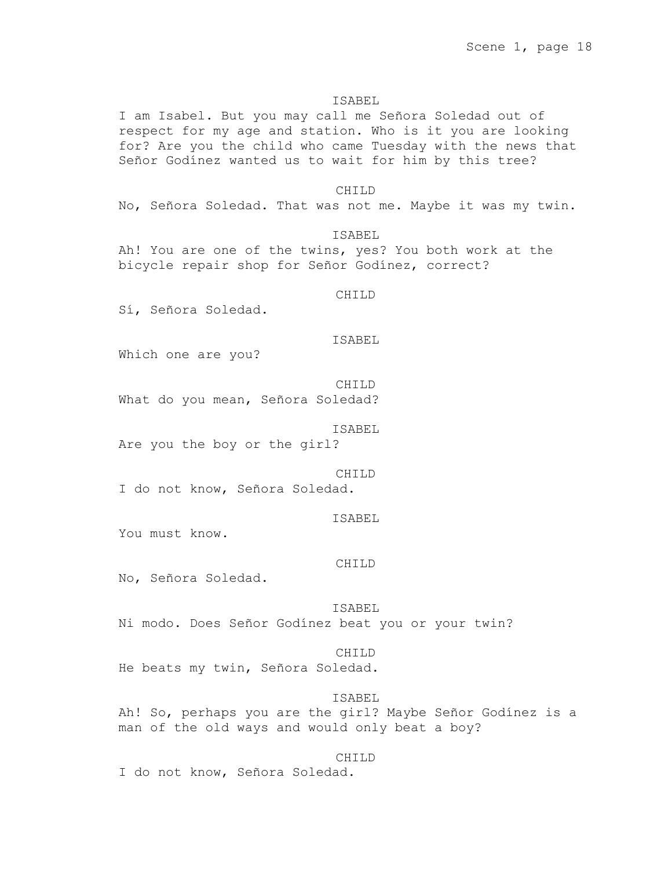I am Isabel. But you may call me Señora Soledad out of respect for my age and station. Who is it you are looking for? Are you the child who came Tuesday with the news that Señor Godínez wanted us to wait for him by this tree?

#### CHILD

No, Señora Soledad. That was not me. Maybe it was my twin.

ISABEL

Ah! You are one of the twins, yes? You both work at the bicycle repair shop for Señor Godínez, correct?

#### CHILD

Sí, Señora Soledad.

ISABEL

Which one are you?

CHILD What do you mean, Señora Soledad?

### ISABEL

Are you the boy or the girl?

CHILD I do not know, Señora Soledad.

ISABEL

You must know.

# CHILD

No, Señora Soledad.

### ISABEL

Ni modo. Does Señor Godínez beat you or your twin?

# CHILD

He beats my twin, Señora Soledad.

#### ISABEL

Ah! So, perhaps you are the girl? Maybe Señor Godínez is a man of the old ways and would only beat a boy?

# CHILD

I do not know, Señora Soledad.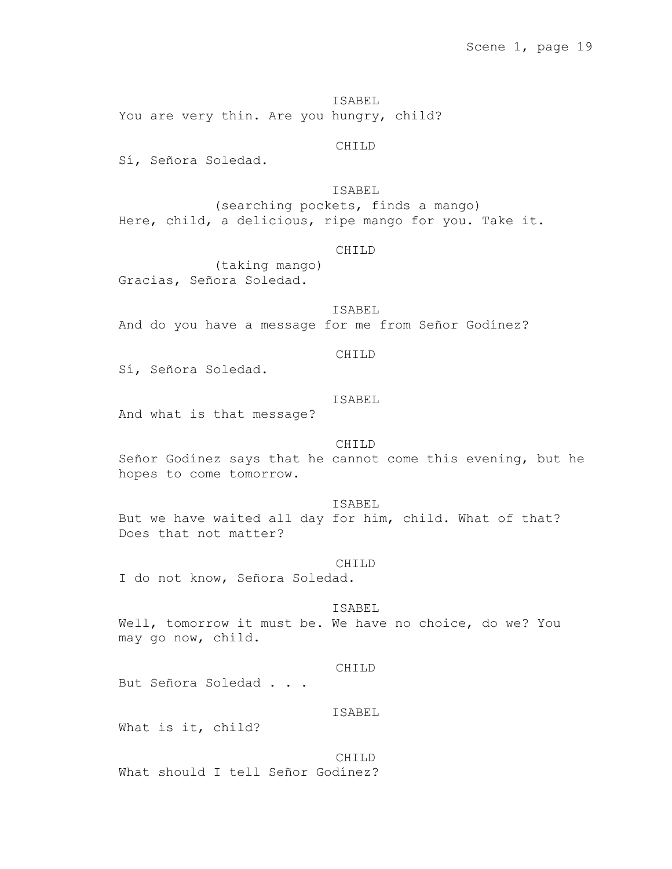ISABEL You are very thin. Are you hungry, child?

CHILD

Sí, Señora Soledad.

ISABEL

(searching pockets, finds a mango) Here, child, a delicious, ripe mango for you. Take it.

## CHILD

(taking mango) Gracias, Señora Soledad.

ISABEL And do you have a message for me from Señor Godínez?

# CHILD

Sí, Señora Soledad.

# ISABEL

And what is that message?

# CH<sub>TLD</sub>

Señor Godínez says that he cannot come this evening, but he hopes to come tomorrow.

#### ISABEL

But we have waited all day for him, child. What of that? Does that not matter?

#### CHILD

I do not know, Señora Soledad.

### ISABEL

Well, tomorrow it must be. We have no choice, do we? You may go now, child.

### CHILD

But Señora Soledad . . .

# ISABEL

What is it, child?

CH<sub>TLD</sub> What should I tell Señor Godínez?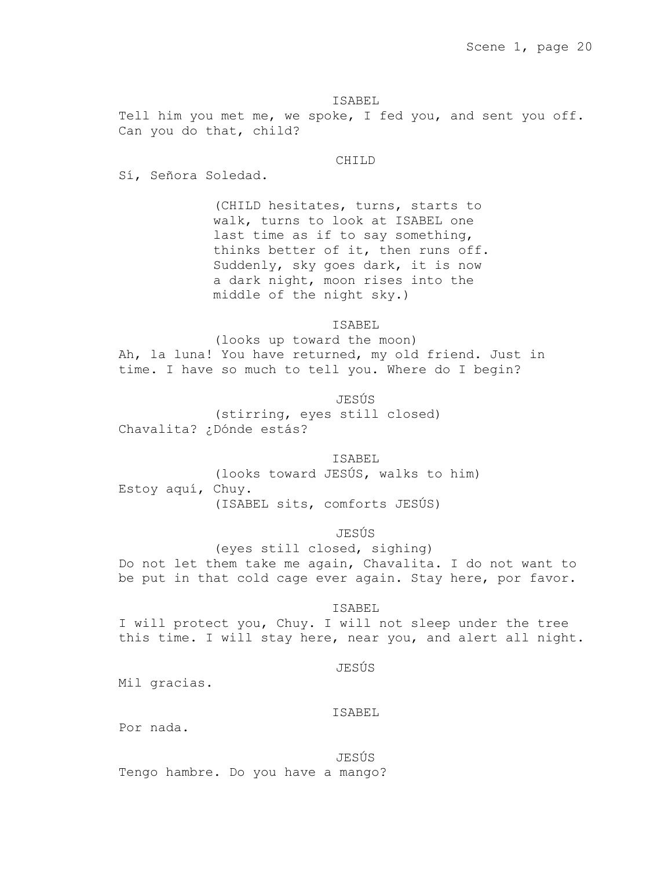Tell him you met me, we spoke, I fed you, and sent you off. Can you do that, child?

# CHILD

Sí, Señora Soledad.

(CHILD hesitates, turns, starts to walk, turns to look at ISABEL one last time as if to say something, thinks better of it, then runs off. Suddenly, sky goes dark, it is now a dark night, moon rises into the middle of the night sky.)

ISABEL

(looks up toward the moon) Ah, la luna! You have returned, my old friend. Just in time. I have so much to tell you. Where do I begin?

JESÚS (stirring, eyes still closed) Chavalita? ¿Dónde estás?

# ISABEL

(looks toward JESÚS, walks to him) Estoy aquí, Chuy. (ISABEL sits, comforts JESÚS)

JESÚS

(eyes still closed, sighing) Do not let them take me again, Chavalita. I do not want to be put in that cold cage ever again. Stay here, por favor.

### ISABEL

I will protect you, Chuy. I will not sleep under the tree this time. I will stay here, near you, and alert all night.

# JESÚS

Mil gracias.

# ISABEL

Por nada.

JESÚS Tengo hambre. Do you have a mango?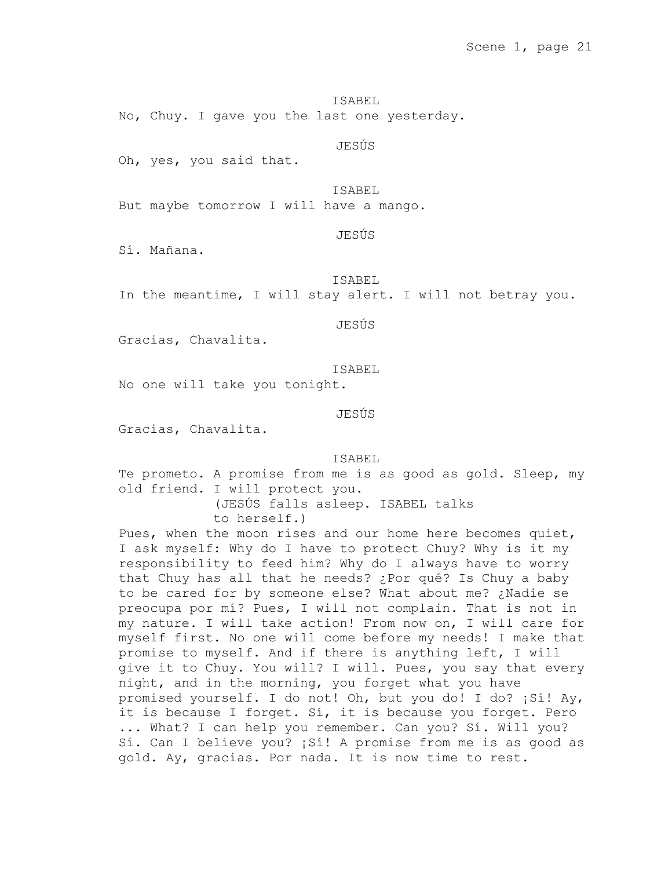ISABEL No, Chuy. I gave you the last one yesterday.

JESÚS

Oh, yes, you said that.

ISABEL

But maybe tomorrow I will have a mango.

JESÚS

Sí. Mañana.

ISABEL

In the meantime, I will stay alert. I will not betray you.

JESÚS

Gracias, Chavalita.

ISABEL

No one will take you tonight.

JESÚS

Gracias, Chavalita.

ISABEL

Te prometo. A promise from me is as good as gold. Sleep, my old friend. I will protect you. (JESÚS falls asleep. ISABEL talks

to herself.)

Pues, when the moon rises and our home here becomes quiet, I ask myself: Why do I have to protect Chuy? Why is it my responsibility to feed him? Why do I always have to worry that Chuy has all that he needs? ¿Por qué? Is Chuy a baby to be cared for by someone else? What about me? ¿Nadie se preocupa por mí? Pues, I will not complain. That is not in my nature. I will take action! From now on, I will care for myself first. No one will come before my needs! I make that promise to myself. And if there is anything left, I will give it to Chuy. You will? I will. Pues, you say that every night, and in the morning, you forget what you have promised yourself. I do not! Oh, but you do! I do? ¡Sí! Ay, it is because I forget. Sí, it is because you forget. Pero ... What? I can help you remember. Can you? Sí. Will you? Sí. Can I believe you? ¡Sí! A promise from me is as good as gold. Ay, gracias. Por nada. It is now time to rest.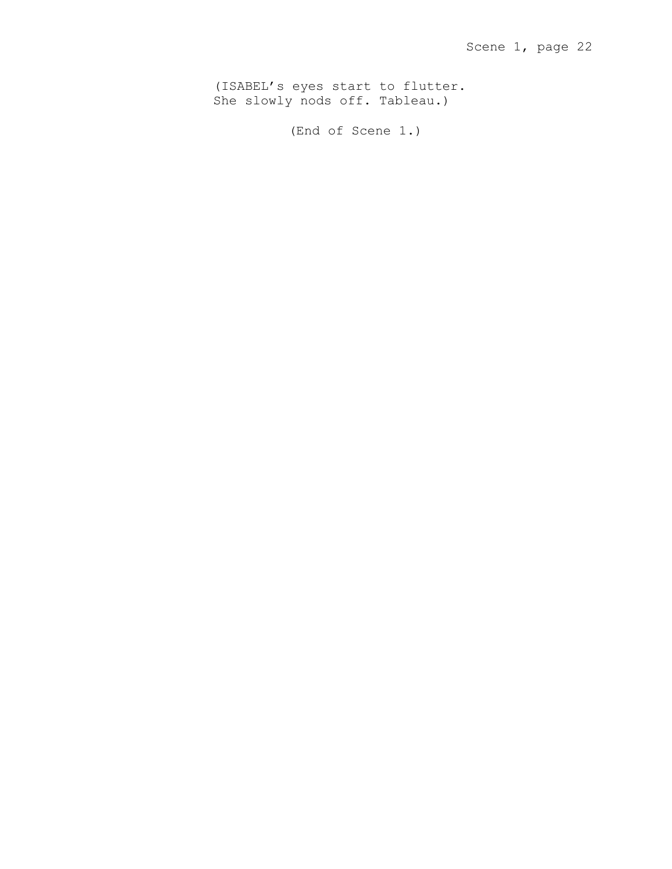(ISABEL's eyes start to flutter. She slowly nods off. Tableau.)

(End of Scene 1.)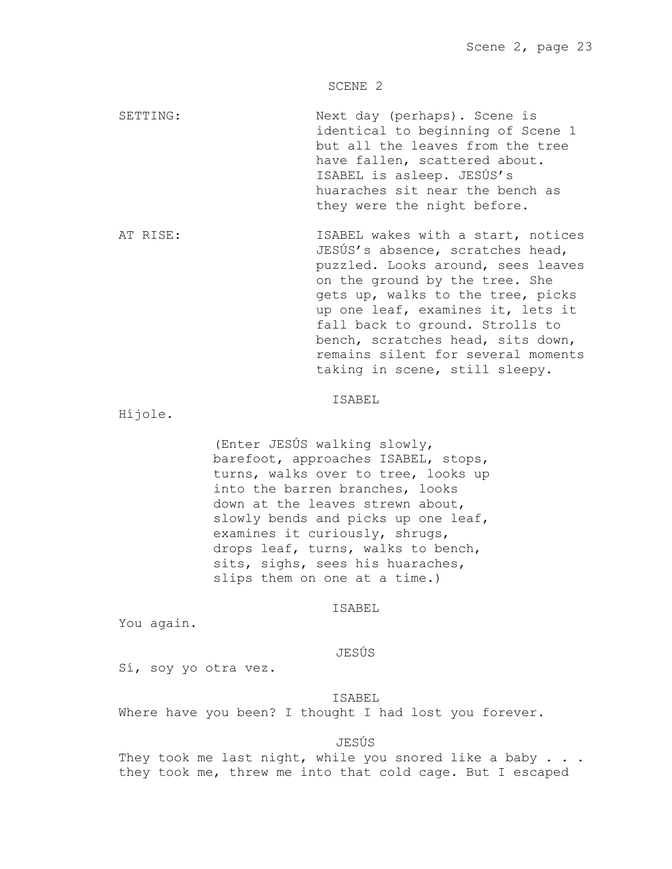SCENE 2

SETTING: Next day (perhaps). Scene is identical to beginning of Scene 1 but all the leaves from the tree have fallen, scattered about. ISABEL is asleep. JESÚS's huaraches sit near the bench as they were the night before.

AT RISE: ISABEL wakes with a start, notices JESÚS's absence, scratches head, puzzled. Looks around, sees leaves on the ground by the tree. She gets up, walks to the tree, picks up one leaf, examines it, lets it fall back to ground. Strolls to bench, scratches head, sits down, remains silent for several moments taking in scene, still sleepy.

# ISABEL

Híjole.

(Enter JESÚS walking slowly, barefoot, approaches ISABEL, stops, turns, walks over to tree, looks up into the barren branches, looks down at the leaves strewn about, slowly bends and picks up one leaf, examines it curiously, shrugs, drops leaf, turns, walks to bench, sits, sighs, sees his huaraches, slips them on one at a time.)

# ISABEL

You again.

# JESÚS

Sí, soy yo otra vez.

### ISABEL

Where have you been? I thought I had lost you forever.

### JESÚS

They took me last night, while you snored like a baby . . . they took me, threw me into that cold cage. But I escaped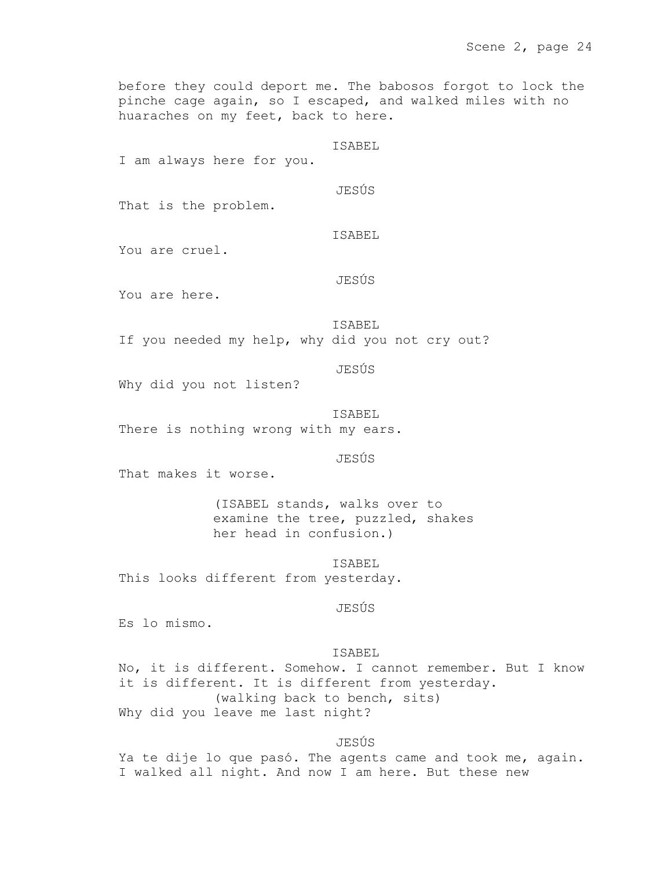before they could deport me. The babosos forgot to lock the pinche cage again, so I escaped, and walked miles with no huaraches on my feet, back to here.

ISABEL

I am always here for you.

JESÚS

That is the problem.

ISABEL

You are cruel.

JESÚS

You are here.

ISABEL

If you needed my help, why did you not cry out?

JESÚS

Why did you not listen?

ISABEL

There is nothing wrong with my ears.

JESÚS

That makes it worse.

(ISABEL stands, walks over to examine the tree, puzzled, shakes her head in confusion.)

ISABEL This looks different from yesterday.

JESÚS

Es lo mismo.

ISABEL

No, it is different. Somehow. I cannot remember. But I know it is different. It is different from yesterday. (walking back to bench, sits) Why did you leave me last night?

# JESÚS

Ya te dije lo que pasó. The agents came and took me, again. I walked all night. And now I am here. But these new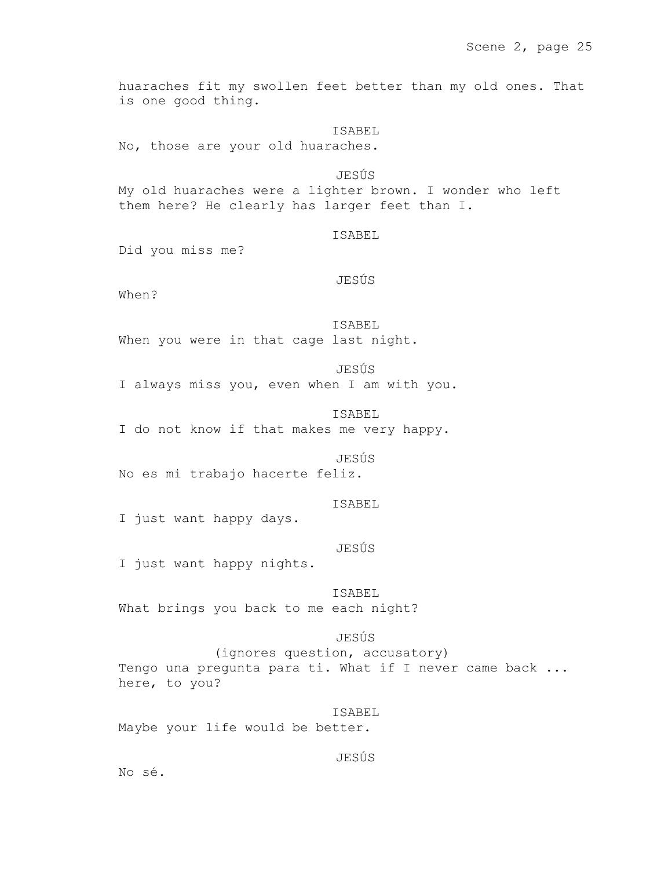huaraches fit my swollen feet better than my old ones. That is one good thing.

ISABEL

No, those are your old huaraches.

JESÚS

My old huaraches were a lighter brown. I wonder who left them here? He clearly has larger feet than I.

# ISABEL

Did you miss me?

# JESÚS

When?

ISABEL When you were in that cage last night.

JESÚS I always miss you, even when I am with you.

ISABEL I do not know if that makes me very happy.

### JESÚS

No es mi trabajo hacerte feliz.

### ISABEL

I just want happy days.

### JESÚS

I just want happy nights.

# ISABEL

What brings you back to me each night?

# JESÚS

(ignores question, accusatory) Tengo una pregunta para ti. What if I never came back ... here, to you?

ISABEL Maybe your life would be better.

# JESÚS

No sé.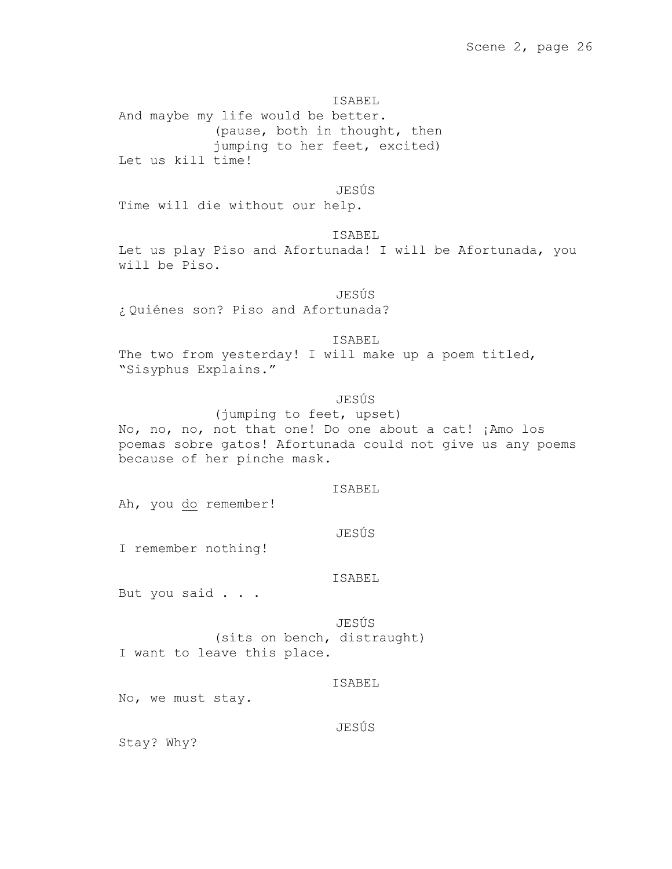# ISABEL And maybe my life would be better. (pause, both in thought, then jumping to her feet, excited) Let us kill time!

JESÚS

Time will die without our help.

ISABEL

Let us play Piso and Afortunada! I will be Afortunada, you will be Piso.

JESÚS ¿ Quiénes son? Piso and Afortunada?

ISABEL

The two from yesterday! I will make up a poem titled, "Sisyphus Explains."

# JESÚS

(jumping to feet, upset) No, no, no, not that one! Do one about a cat! ¡Amo los poemas sobre gatos! Afortunada could not give us any poems because of her pinche mask.

## ISABEL

Ah, you do remember!

JESÚS

I remember nothing!

# ISABEL

But you said . . .

JESÚS (sits on bench, distraught) I want to leave this place.

# ISABEL

No, we must stay.

# JESÚS

Stay? Why?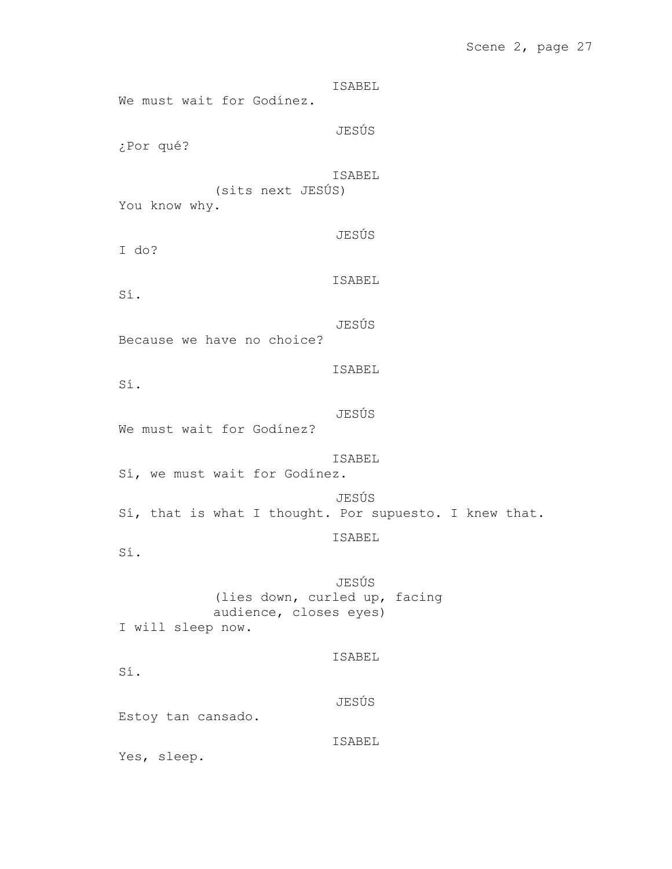# Scene 2, page 27

ISABEL We must wait for Godínez. JESÚS ¿Por qué? ISABEL (sits next JESÚS) You know why. JESÚS I do? ISABEL Sí. JESÚS Because we have no choice? ISABEL Sí. JESÚS We must wait for Godínez? ISABEL Sí, we must wait for Godínez. JESÚS Sí, that is what I thought. Por supuesto. I knew that. ISABEL Sí. JESÚS (lies down, curled up, facing audience, closes eyes) I will sleep now. ISABEL Sí. JESÚS Estoy tan cansado. ISABEL Yes, sleep.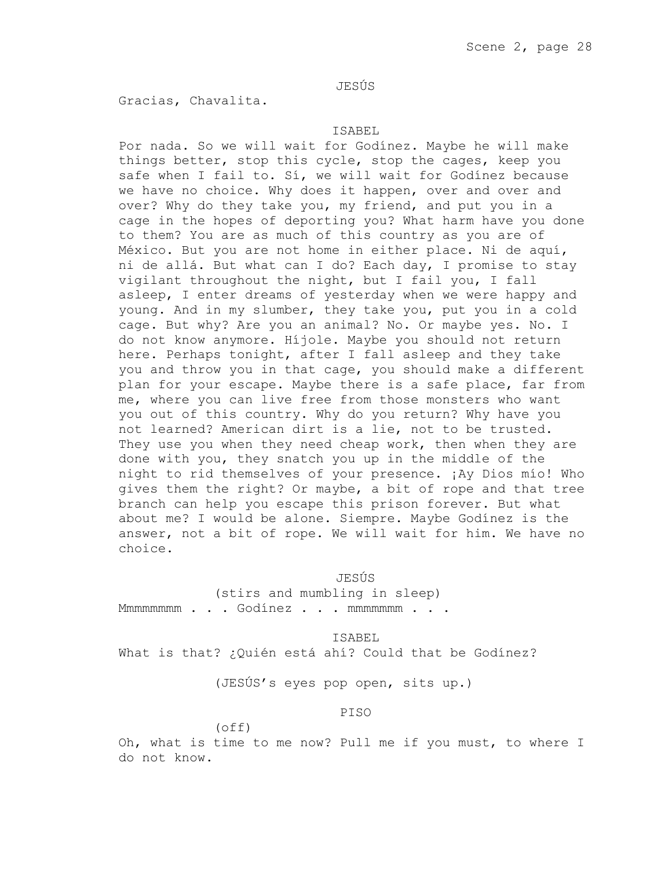# JESÚS

Gracias, Chavalita.

## ISABEL

Por nada. So we will wait for Godínez. Maybe he will make things better, stop this cycle, stop the cages, keep you safe when I fail to. Sí, we will wait for Godínez because we have no choice. Why does it happen, over and over and over? Why do they take you, my friend, and put you in a cage in the hopes of deporting you? What harm have you done to them? You are as much of this country as you are of México. But you are not home in either place. Ni de aquí, ni de allá. But what can I do? Each day, I promise to stay vigilant throughout the night, but I fail you, I fall asleep, I enter dreams of yesterday when we were happy and young. And in my slumber, they take you, put you in a cold cage. But why? Are you an animal? No. Or maybe yes. No. I do not know anymore. Híjole. Maybe you should not return here. Perhaps tonight, after I fall asleep and they take you and throw you in that cage, you should make a different plan for your escape. Maybe there is a safe place, far from me, where you can live free from those monsters who want you out of this country. Why do you return? Why have you not learned? American dirt is a lie, not to be trusted. They use you when they need cheap work, then when they are done with you, they snatch you up in the middle of the night to rid themselves of your presence. ¡Ay Dios mío! Who gives them the right? Or maybe, a bit of rope and that tree branch can help you escape this prison forever. But what about me? I would be alone. Siempre. Maybe Godínez is the answer, not a bit of rope. We will wait for him. We have no choice.

### JESÚS

(stirs and mumbling in sleep) Mmmmmmmmm . . . Godinez . . . mmmmmmm . . .

## ISABEL

What is that? ¿Quién está ahí? Could that be Godínez?

(JESÚS's eyes pop open, sits up.)

# PISO

# (off)

Oh, what is time to me now? Pull me if you must, to where I do not know.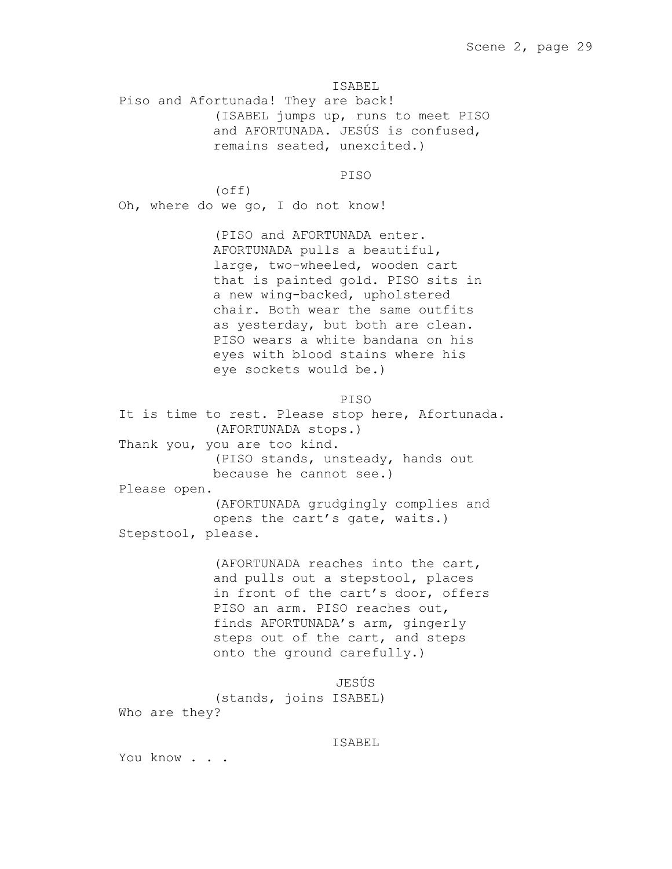Piso and Afortunada! They are back! (ISABEL jumps up, runs to meet PISO and AFORTUNADA. JESÚS is confused, remains seated, unexcited.)

PISO

(off) Oh, where do we go, I do not know!

> (PISO and AFORTUNADA enter. AFORTUNADA pulls a beautiful, large, two-wheeled, wooden cart that is painted gold. PISO sits in a new wing-backed, upholstered chair. Both wear the same outfits as yesterday, but both are clean. PISO wears a white bandana on his eyes with blood stains where his eye sockets would be.)

> > PISO

It is time to rest. Please stop here, Afortunada. (AFORTUNADA stops.) Thank you, you are too kind. (PISO stands, unsteady, hands out because he cannot see.) Please open. (AFORTUNADA grudgingly complies and opens the cart's gate, waits.) Stepstool, please.

> (AFORTUNADA reaches into the cart, and pulls out a stepstool, places in front of the cart's door, offers PISO an arm. PISO reaches out, finds AFORTUNADA's arm, gingerly steps out of the cart, and steps onto the ground carefully.)

JESÚS (stands, joins ISABEL) Who are they?

### ISABEL

You know . . .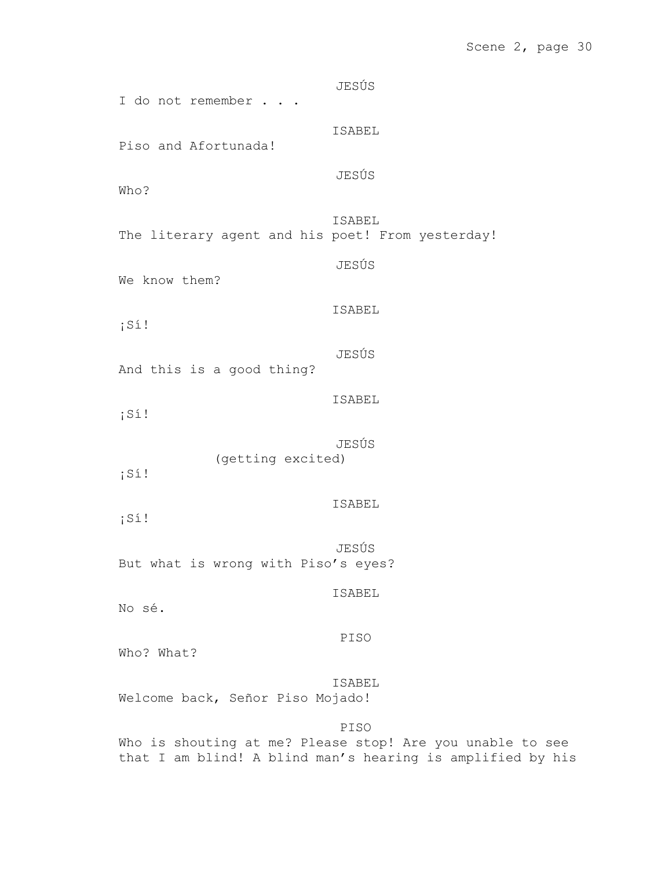# Scene 2, page 30

JESÚS I do not remember . . . ISABEL Piso and Afortunada! JESÚS Who? ISABEL The literary agent and his poet! From yesterday! JESÚS We know them? ISABEL ¡Sí! JESÚS And this is a good thing? ISABEL ¡Sí! JESÚS (getting excited) ¡Sí! ISABEL ¡Sí! JESÚS But what is wrong with Piso's eyes? ISABEL No sé. PISO Who? What? ISABEL Welcome back, Señor Piso Mojado! PISO Who is shouting at me? Please stop! Are you unable to see

that I am blind! A blind man's hearing is amplified by his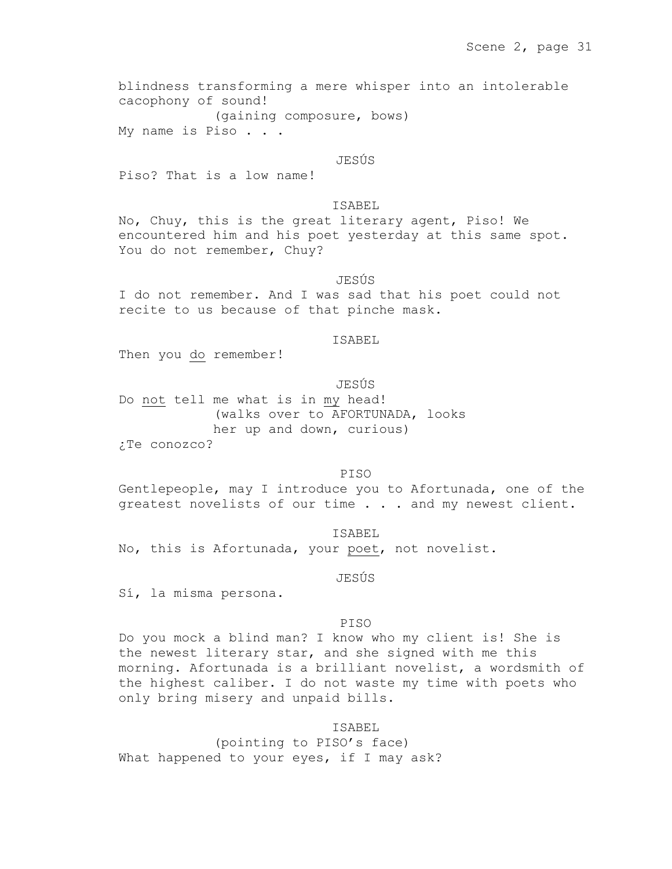blindness transforming a mere whisper into an intolerable cacophony of sound! (gaining composure, bows) My name is Piso . . .

# JESÚS

Piso? That is a low name!

# ISABEL

No, Chuy, this is the great literary agent, Piso! We encountered him and his poet yesterday at this same spot. You do not remember, Chuy?

# JESÚS

I do not remember. And I was sad that his poet could not recite to us because of that pinche mask.

#### ISABEL

Then you do remember!

# JESÚS

Do not tell me what is in my head! (walks over to AFORTUNADA, looks her up and down, curious) ¿Te conozco?

# PISO

Gentlepeople, may I introduce you to Afortunada, one of the greatest novelists of our time . . . and my newest client.

No, this is Afortunada, your poet, not novelist.

JESÚS

ISABEL

Sí, la misma persona.

### PISO

Do you mock a blind man? I know who my client is! She is the newest literary star, and she signed with me this morning. Afortunada is a brilliant novelist, a wordsmith of the highest caliber. I do not waste my time with poets who only bring misery and unpaid bills.

# ISABEL

(pointing to PISO's face) What happened to your eyes, if I may ask?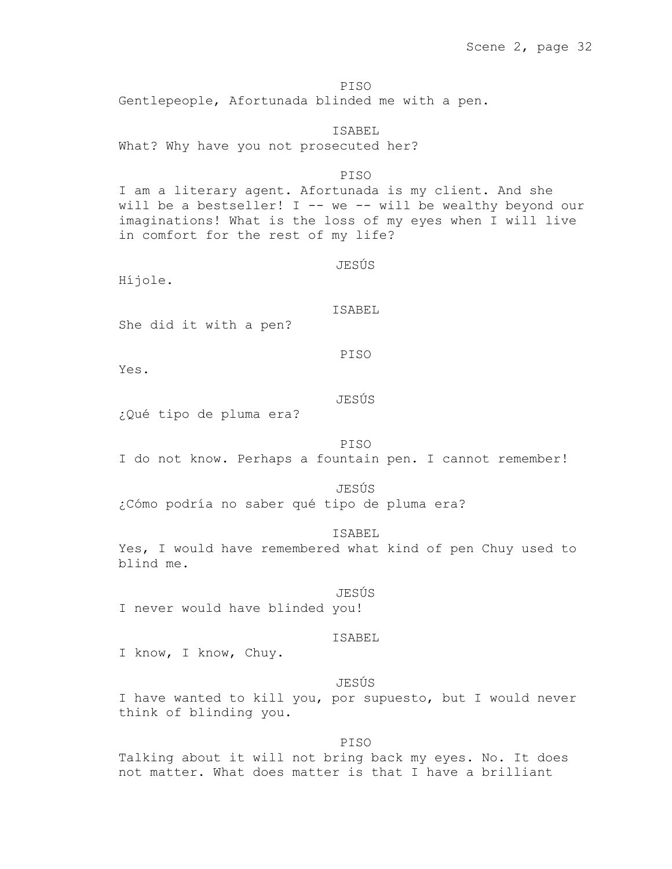PISO Gentlepeople, Afortunada blinded me with a pen.

ISABEL What? Why have you not prosecuted her? PISO I am a literary agent. Afortunada is my client. And she will be a bestseller! I -- we -- will be wealthy beyond our imaginations! What is the loss of my eyes when I will live in comfort for the rest of my life? JESÚS Híjole. ISABEL She did it with a pen? PISO Yes. JESÚS ¿Qué tipo de pluma era? PISO

I do not know. Perhaps a fountain pen. I cannot remember!

# JESÚS

¿Cómo podría no saber qué tipo de pluma era?

# ISABEL

Yes, I would have remembered what kind of pen Chuy used to blind me.

#### JESÚS

I never would have blinded you!

### ISABEL

I know, I know, Chuy.

# JESÚS

I have wanted to kill you, por supuesto, but I would never think of blinding you.

### PISO

Talking about it will not bring back my eyes. No. It does not matter. What does matter is that I have a brilliant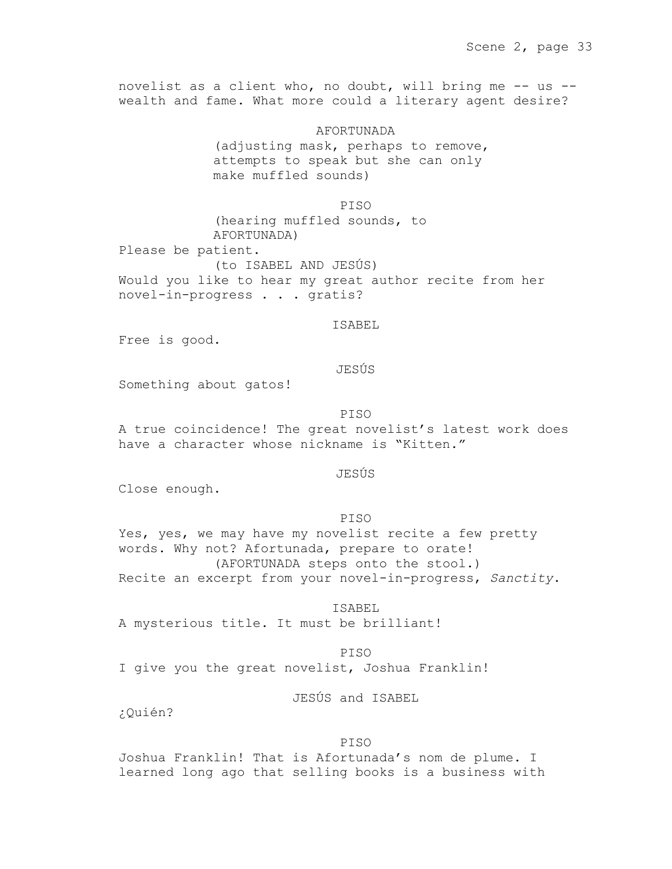novelist as a client who, no doubt, will bring me -- us - wealth and fame. What more could a literary agent desire?

> AFORTUNADA (adjusting mask, perhaps to remove, attempts to speak but she can only make muffled sounds)

PISO (hearing muffled sounds, to AFORTUNADA) Please be patient. (to ISABEL AND JESÚS) Would you like to hear my great author recite from her novel-in-progress . . . gratis?

ISABEL

Free is good.

# JESÚS

Something about gatos!

PISO

A true coincidence! The great novelist's latest work does have a character whose nickname is "Kitten."

JESÚS

Close enough.

PISO

Yes, yes, we may have my novelist recite a few pretty words. Why not? Afortunada, prepare to orate! (AFORTUNADA steps onto the stool.) Recite an excerpt from your novel-in-progress, *Sanctity*.

ISABEL

A mysterious title. It must be brilliant!

PISO I give you the great novelist, Joshua Franklin!

JESÚS and ISABEL

¿Quién?

### PISO

Joshua Franklin! That is Afortunada's nom de plume. I learned long ago that selling books is a business with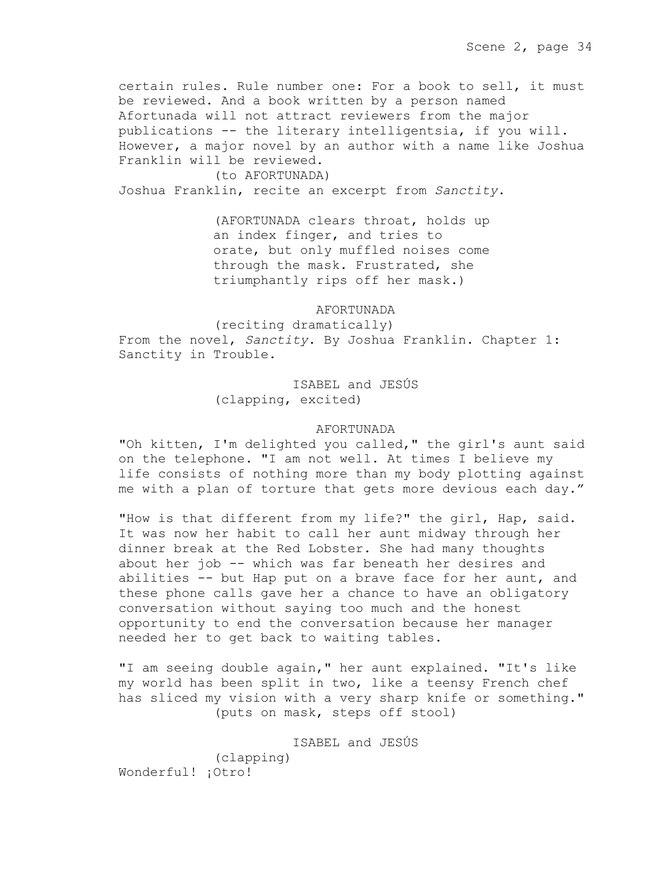certain rules. Rule number one: For a book to sell, it must be reviewed. And a book written by a person named Afortunada will not attract reviewers from the major publications -- the literary intelligentsia, if you will. However, a major novel by an author with a name like Joshua Franklin will be reviewed.

(to AFORTUNADA) Joshua Franklin, recite an excerpt from *Sanctity*.

> (AFORTUNADA clears throat, holds up an index finger, and tries to orate, but only muffled noises come through the mask. Frustrated, she triumphantly rips off her mask.)

> > AFORTUNADA

(reciting dramatically) From the novel, *Sanctity*. By Joshua Franklin. Chapter 1: Sanctity in Trouble.

> ISABEL and JESÚS (clapping, excited)

# AFORTUNADA

"Oh kitten, I'm delighted you called," the girl's aunt said on the telephone. "I am not well. At times I believe my life consists of nothing more than my body plotting against me with a plan of torture that gets more devious each day."

"How is that different from my life?" the girl, Hap, said. It was now her habit to call her aunt midway through her dinner break at the Red Lobster. She had many thoughts about her job -- which was far beneath her desires and abilities -- but Hap put on a brave face for her aunt, and these phone calls gave her a chance to have an obligatory conversation without saying too much and the honest opportunity to end the conversation because her manager needed her to get back to waiting tables.

"I am seeing double again," her aunt explained. "It's like my world has been split in two, like a teensy French chef has sliced my vision with a very sharp knife or something." (puts on mask, steps off stool)

ISABEL and JESÚS (clapping) Wonderful! ¡Otro!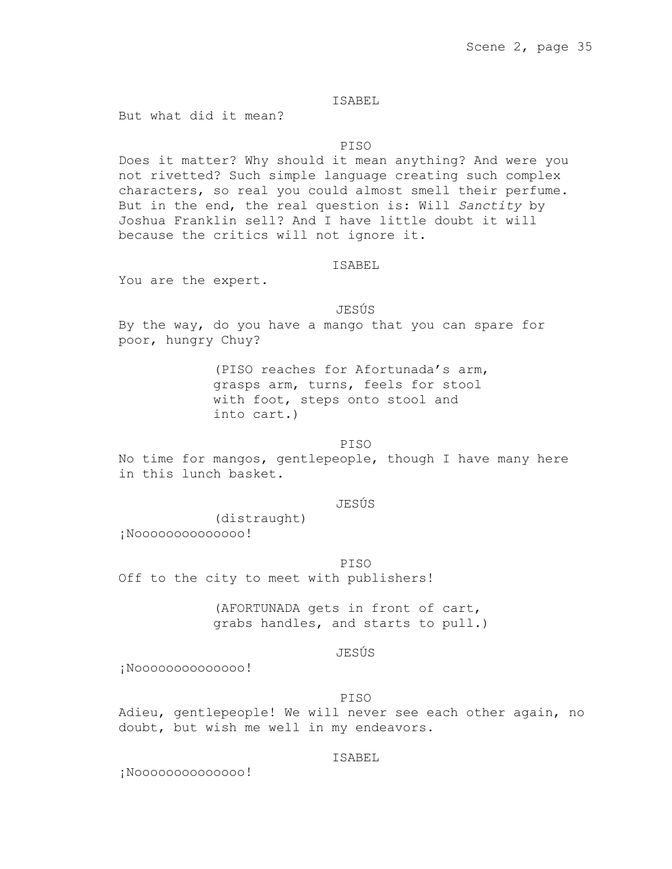But what did it mean?

# PISO

Does it matter? Why should it mean anything? And were you not rivetted? Such simple language creating such complex characters, so real you could almost smell their perfume. But in the end, the real question is: Will *Sanctity* by Joshua Franklin sell? And I have little doubt it will because the critics will not ignore it.

## ISABEL

You are the expert.

# JESÚS

By the way, do you have a mango that you can spare for poor, hungry Chuy?

> (PISO reaches for Afortunada's arm, grasps arm, turns, feels for stool with foot, steps onto stool and into cart.)

# PISO

No time for mangos, gentlepeople, though I have many here in this lunch basket.

### JESÚS

(distraught) ¡Noooooooooooooo!

### PISO

Off to the city to meet with publishers!

(AFORTUNADA gets in front of cart, grabs handles, and starts to pull.)

## JESÚS

¡Noooooooooooooo!

#### PISO

Adieu, gentlepeople! We will never see each other again, no doubt, but wish me well in my endeavors.

# ISABEL

¡Noooooooooooooo!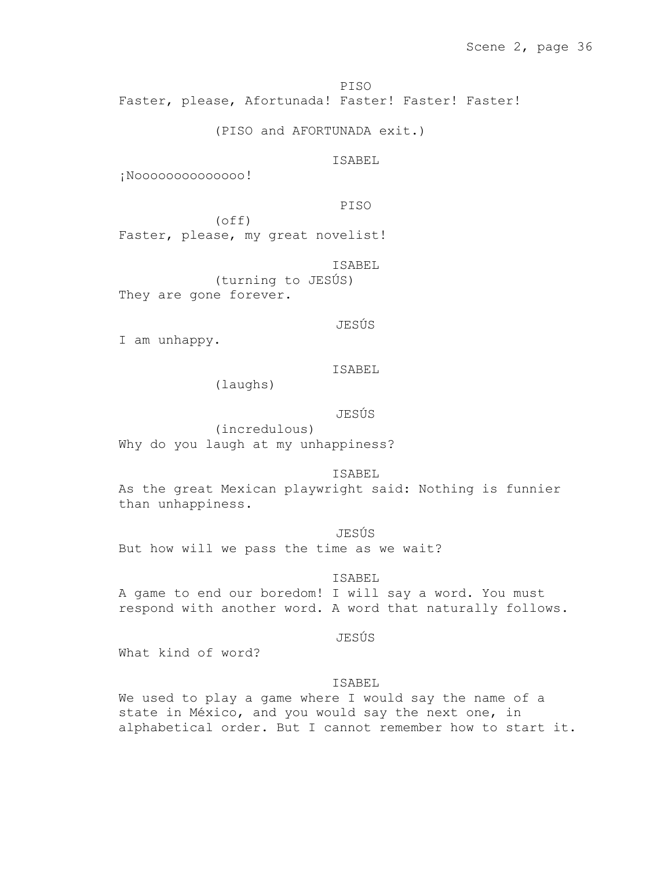PISO Faster, please, Afortunada! Faster! Faster! Faster!

(PISO and AFORTUNADA exit.)

ISABEL

¡Noooooooooooooo!

PISO

(off) Faster, please, my great novelist!

ISABEL

(turning to JESÚS) They are gone forever.

JESÚS

I am unhappy.

ISABEL

(laughs)

JESÚS

(incredulous) Why do you laugh at my unhappiness?

ISABEL

As the great Mexican playwright said: Nothing is funnier than unhappiness.

JESÚS But how will we pass the time as we wait?

ISABEL

A game to end our boredom! I will say a word. You must respond with another word. A word that naturally follows.

JESÚS

What kind of word?

# ISABEL

We used to play a game where I would say the name of a state in México, and you would say the next one, in alphabetical order. But I cannot remember how to start it.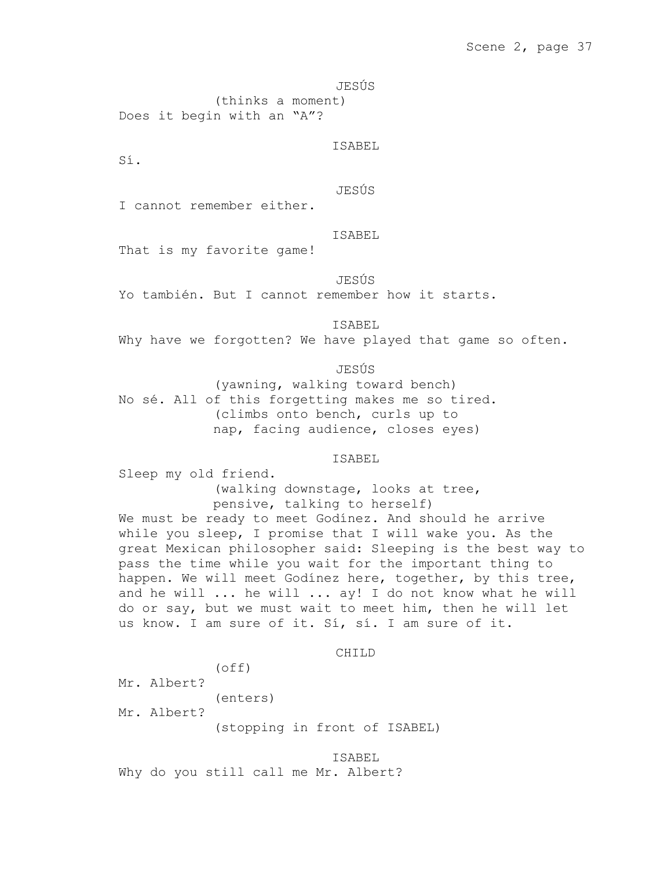JESÚS

(thinks a moment) Does it begin with an "A"?

ISABEL

Sí.

JESÚS

I cannot remember either.

ISABEL

That is my favorite game!

JESÚS

Yo también. But I cannot remember how it starts.

ISABEL

Why have we forgotten? We have played that game so often.

JESÚS

(yawning, walking toward bench) No sé. All of this forgetting makes me so tired. (climbs onto bench, curls up to nap, facing audience, closes eyes)

# ISABEL

Sleep my old friend. (walking downstage, looks at tree,

pensive, talking to herself) We must be ready to meet Godínez. And should he arrive while you sleep, I promise that I will wake you. As the great Mexican philosopher said: Sleeping is the best way to pass the time while you wait for the important thing to happen. We will meet Godínez here, together, by this tree, and he will ... he will ... ay! I do not know what he will do or say, but we must wait to meet him, then he will let us know. I am sure of it. Sí, sí. I am sure of it.

CH<sub>T</sub>LD

(off) Mr. Albert? (enters) Mr. Albert? (stopping in front of ISABEL)

ISABEL Why do you still call me Mr. Albert?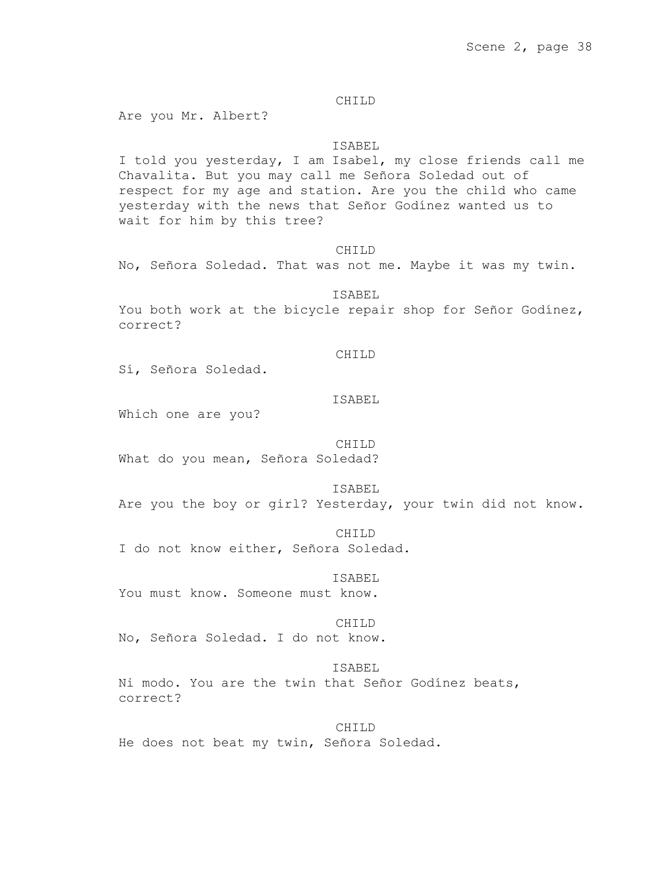# CHILD

Are you Mr. Albert?

# ISABEL

I told you yesterday, I am Isabel, my close friends call me Chavalita. But you may call me Señora Soledad out of respect for my age and station. Are you the child who came yesterday with the news that Señor Godínez wanted us to wait for him by this tree?

#### CHILD

No, Señora Soledad. That was not me. Maybe it was my twin.

#### ISABEL

You both work at the bicycle repair shop for Señor Godinez, correct?

### CHILD

Sí, Señora Soledad.

# ISABEL

Which one are you?

#### CH<sub>TLD</sub>

What do you mean, Señora Soledad?

## ISABEL

Are you the boy or girl? Yesterday, your twin did not know.

#### CHILD

I do not know either, Señora Soledad.

#### ISABEL

You must know. Someone must know.

### CHILD

No, Señora Soledad. I do not know.

#### ISABEL

Ni modo. You are the twin that Señor Godínez beats, correct?

CHILD He does not beat my twin, Señora Soledad.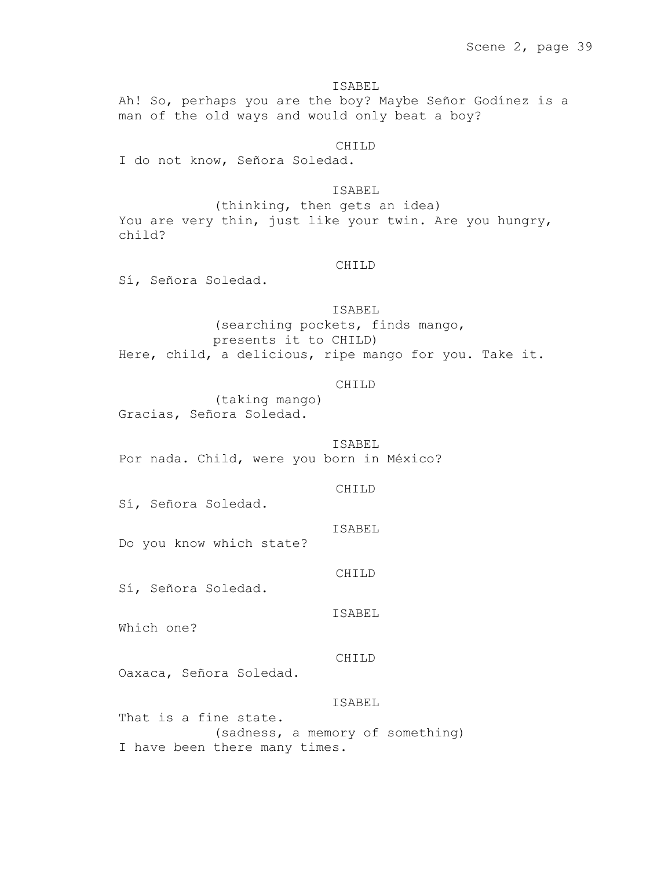ISABEL Ah! So, perhaps you are the boy? Maybe Señor Godínez is a man of the old ways and would only beat a boy?

CHILD

I do not know, Señora Soledad.

ISABEL

(thinking, then gets an idea) You are very thin, just like your twin. Are you hungry, child?

# CHILD

Sí, Señora Soledad.

ISABEL

(searching pockets, finds mango, presents it to CHILD) Here, child, a delicious, ripe mango for you. Take it.

### CHILD

(taking mango) Gracias, Señora Soledad.

ISABEL

Por nada. Child, were you born in México?

CHILD

Sí, Señora Soledad.

ISABEL

Do you know which state?

CHILD

Sí, Señora Soledad.

ISABEL

Which one?

CHILD

Oaxaca, Señora Soledad.

ISABEL

That is a fine state. (sadness, a memory of something) I have been there many times.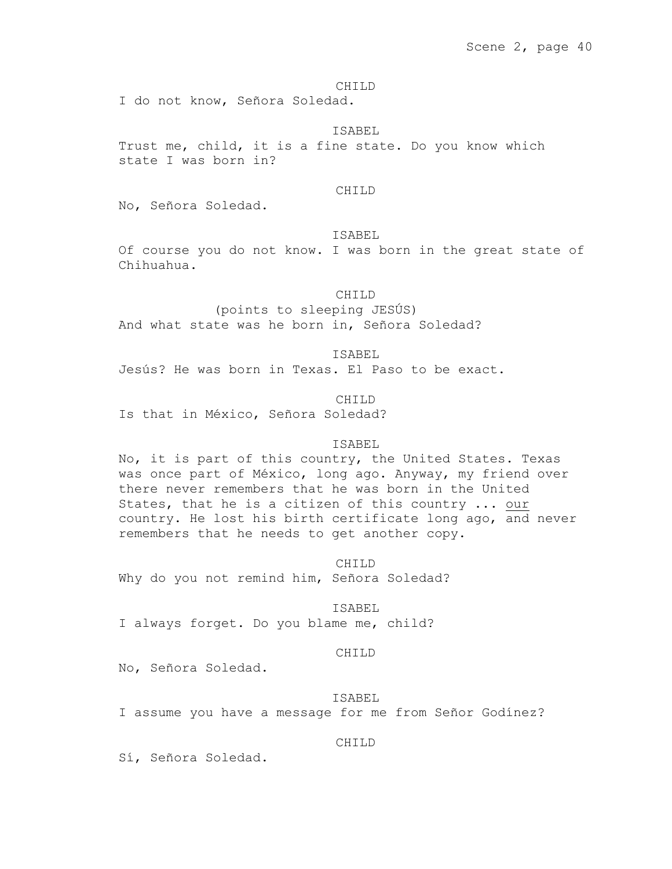CHILD

I do not know, Señora Soledad.

#### ISABEL

Trust me, child, it is a fine state. Do you know which state I was born in?

#### CHILD

No, Señora Soledad.

# ISABEL

Of course you do not know. I was born in the great state of Chihuahua.

CHILD

(points to sleeping JESÚS) And what state was he born in, Señora Soledad?

ISABEL

Jesús? He was born in Texas. El Paso to be exact.

CHILD Is that in México, Señora Soledad?

### ISABEL

No, it is part of this country, the United States. Texas was once part of México, long ago. Anyway, my friend over there never remembers that he was born in the United States, that he is a citizen of this country ... our country. He lost his birth certificate long ago, and never remembers that he needs to get another copy.

CHILD

Why do you not remind him, Señora Soledad?

ISABEL

I always forget. Do you blame me, child?

# CHILD

No, Señora Soledad.

ISABEL

I assume you have a message for me from Señor Godínez?

# CHILD

Sí, Señora Soledad.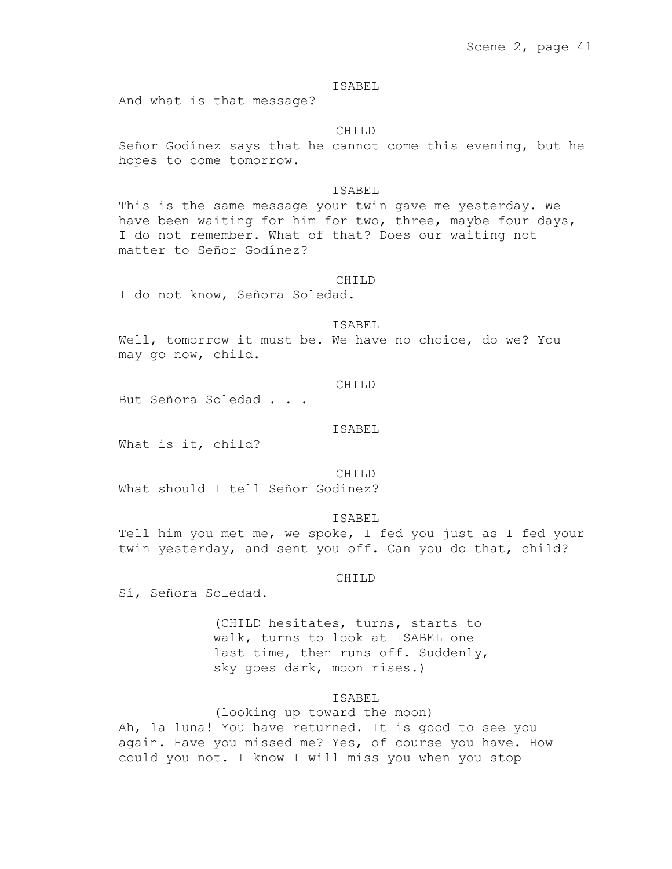And what is that message?

#### CHILD

Señor Godínez says that he cannot come this evening, but he hopes to come tomorrow.

# ISABEL

This is the same message your twin gave me yesterday. We have been waiting for him for two, three, maybe four days, I do not remember. What of that? Does our waiting not matter to Señor Godínez?

#### CHILD

I do not know, Señora Soledad.

### ISABEL

Well, tomorrow it must be. We have no choice, do we? You may go now, child.

#### CHILD

But Señora Soledad . . .

# ISABEL

What is it, child?

CHILD What should I tell Señor Godínez?

ISABEL

Tell him you met me, we spoke, I fed you just as I fed your twin yesterday, and sent you off. Can you do that, child?

CHILD

Sí, Señora Soledad.

(CHILD hesitates, turns, starts to walk, turns to look at ISABEL one last time, then runs off. Suddenly, sky goes dark, moon rises.)

### ISABEL

(looking up toward the moon) Ah, la luna! You have returned. It is good to see you again. Have you missed me? Yes, of course you have. How could you not. I know I will miss you when you stop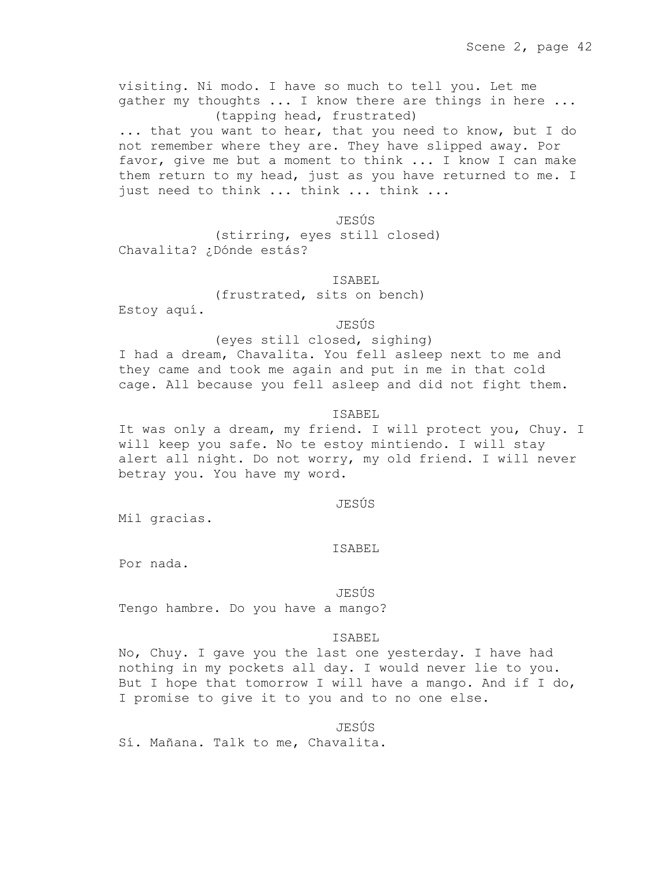visiting. Ni modo. I have so much to tell you. Let me gather my thoughts ... I know there are things in here ... (tapping head, frustrated) ... that you want to hear, that you need to know, but I do not remember where they are. They have slipped away. Por favor, give me but a moment to think ... I know I can make them return to my head, just as you have returned to me. I just need to think ... think ... think ...

JESÚS

(stirring, eyes still closed) Chavalita? ¿Dónde estás?

### ISABEL

(frustrated, sits on bench)

Estoy aquí.

JESÚS

### (eyes still closed, sighing)

I had a dream, Chavalita. You fell asleep next to me and they came and took me again and put in me in that cold cage. All because you fell asleep and did not fight them.

### ISABEL

It was only a dream, my friend. I will protect you, Chuy. I will keep you safe. No te estoy mintiendo. I will stay alert all night. Do not worry, my old friend. I will never betray you. You have my word.

#### JESÚS

Mil gracias.

#### ISABEL

Por nada.

#### JESÚS

Tengo hambre. Do you have a mango?

# ISABEL

No, Chuy. I gave you the last one yesterday. I have had nothing in my pockets all day. I would never lie to you. But I hope that tomorrow I will have a mango. And if I do, I promise to give it to you and to no one else.

# JESÚS

Sí. Mañana. Talk to me, Chavalita.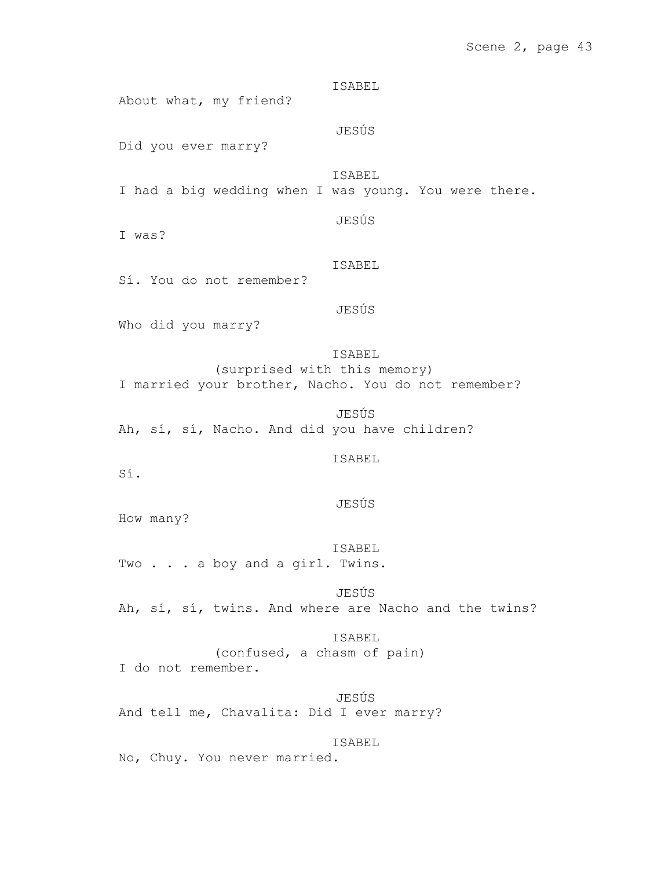# Scene 2, page 43

ISABEL About what, my friend? JESÚS Did you ever marry? ISABEL I had a big wedding when I was young. You were there. JESÚS I was? ISABEL Sí. You do not remember? JESÚS Who did you marry? ISABEL (surprised with this memory) I married your brother, Nacho. You do not remember? JESÚS Ah, sí, sí, Nacho. And did you have children? ISABEL Sí. JESÚS How many? ISABEL Two . . . a boy and a girl. Twins. JESÚS Ah, sí, sí, twins. And where are Nacho and the twins? ISABEL (confused, a chasm of pain) I do not remember.

JESÚS And tell me, Chavalita: Did I ever marry?

ISABEL

No, Chuy. You never married.